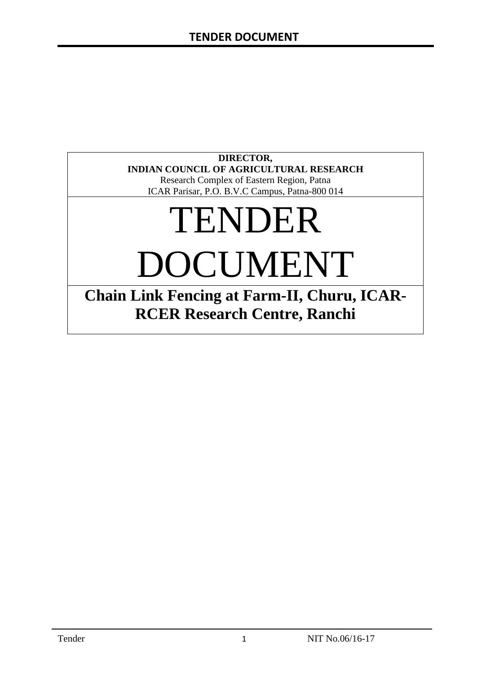# **DIRECTOR, INDIAN COUNCIL OF AGRICULTURAL RESEARCH**

Research Complex of Eastern Region, Patna ICAR Parisar, P.O. B.V.C Campus, Patna-800 014

# TENDER DOCUMENT

**Chain Link Fencing at Farm-II, Churu, ICAR-RCER Research Centre, Ranchi**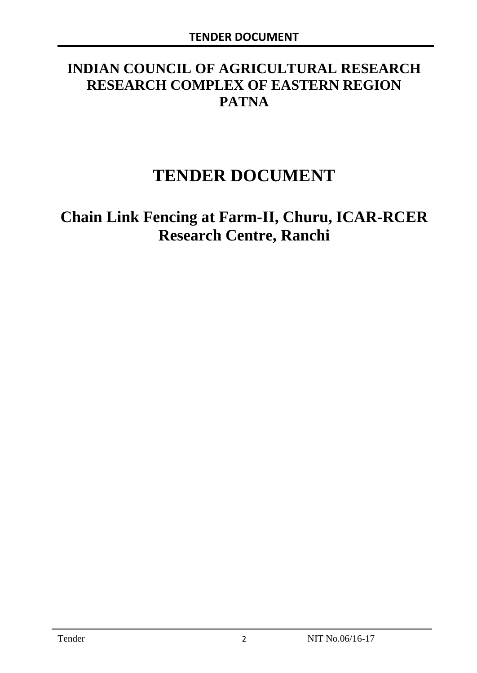# **INDIAN COUNCIL OF AGRICULTURAL RESEARCH RESEARCH COMPLEX OF EASTERN REGION PATNA**

# **TENDER DOCUMENT**

# **Chain Link Fencing at Farm-II, Churu, ICAR-RCER Research Centre, Ranchi**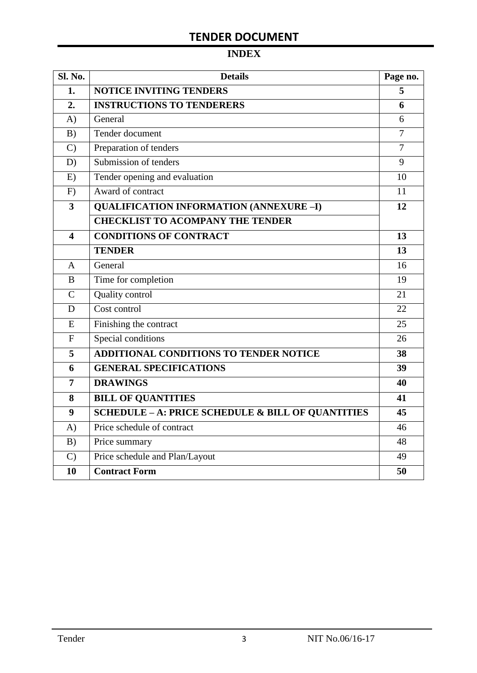# **TENDER DOCUMENT**

# **INDEX**

| <b>Sl. No.</b> | <b>Details</b>                                    | Page no.       |
|----------------|---------------------------------------------------|----------------|
| 1.             | <b>NOTICE INVITING TENDERS</b>                    |                |
| 2.             | <b>INSTRUCTIONS TO TENDERERS</b>                  | 6              |
| A)             | General                                           | 6              |
| B)             | Tender document                                   | $\overline{7}$ |
| $\mathcal{C}$  | Preparation of tenders                            | $\overline{7}$ |
| D)             | Submission of tenders                             | 9              |
| E)             | Tender opening and evaluation                     | 10             |
| F)             | Award of contract                                 | 11             |
| 3              | <b>QUALIFICATION INFORMATION (ANNEXURE-I)</b>     | 12             |
|                | <b>CHECKLIST TO ACOMPANY THE TENDER</b>           |                |
| 4              | <b>CONDITIONS OF CONTRACT</b>                     | 13             |
|                | <b>TENDER</b>                                     | 13             |
| A              | General                                           | 16             |
| B              | Time for completion                               | 19             |
| $\overline{C}$ | Quality control                                   | 21             |
| D              | Cost control                                      | 22             |
| E              | Finishing the contract                            | 25             |
| $\overline{F}$ | Special conditions                                | 26             |
| 5              | ADDITIONAL CONDITIONS TO TENDER NOTICE            | 38             |
| 6              | <b>GENERAL SPECIFICATIONS</b>                     | 39             |
| $\overline{7}$ | <b>DRAWINGS</b>                                   | 40             |
| 8              | <b>BILL OF QUANTITIES</b>                         | 41             |
| 9              | SCHEDULE - A: PRICE SCHEDULE & BILL OF QUANTITIES | 45             |
| A)             | Price schedule of contract                        | 46             |
| B)             | Price summary                                     | 48             |
| $\mathcal{C}$  | Price schedule and Plan/Layout                    | 49             |
| 10             | <b>Contract Form</b>                              | 50             |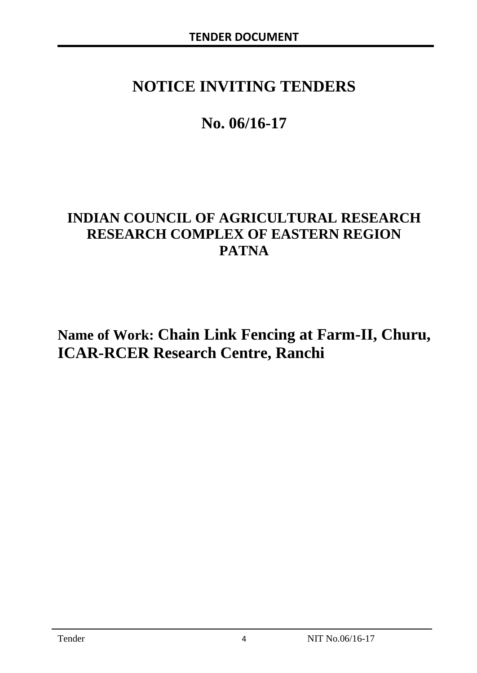# **NOTICE INVITING TENDERS**

# **No. 06/16-17**

# **INDIAN COUNCIL OF AGRICULTURAL RESEARCH RESEARCH COMPLEX OF EASTERN REGION PATNA**

**Name of Work: Chain Link Fencing at Farm-II, Churu, ICAR-RCER Research Centre, Ranchi**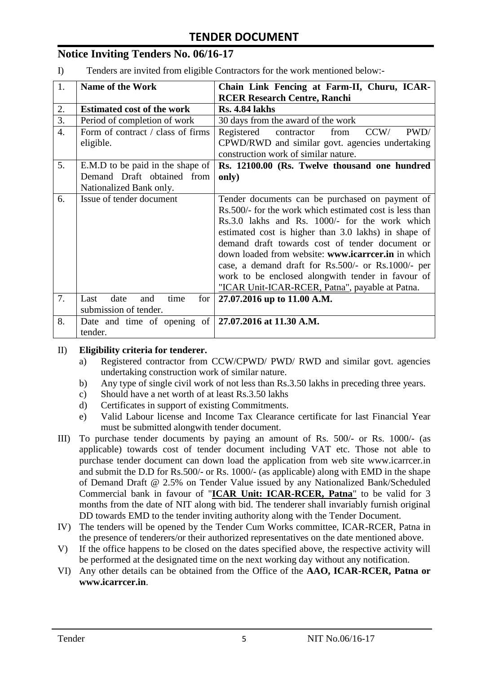# **Notice Inviting Tenders No. 06/16-17**

I) Tenders are invited from eligible Contractors for the work mentioned below:-

| 1.               | <b>Name of the Work</b>                                      | Chain Link Fencing at Farm-II, Churu, ICAR-             |
|------------------|--------------------------------------------------------------|---------------------------------------------------------|
|                  |                                                              | <b>RCER Research Centre, Ranchi</b>                     |
| 2.               | <b>Estimated cost of the work</b>                            | <b>Rs. 4.84 lakhs</b>                                   |
| 3.               | Period of completion of work                                 | 30 days from the award of the work                      |
| $\overline{4}$ . | Form of contract / class of firms                            | PWD/<br>Registered<br>from<br>CCW/<br>contractor        |
|                  | eligible.                                                    | CPWD/RWD and similar govt. agencies undertaking         |
|                  |                                                              | construction work of similar nature.                    |
| 5.               | E.M.D to be paid in the shape of                             | Rs. 12100.00 (Rs. Twelve thousand one hundred           |
|                  | Demand Draft obtained from                                   | only)                                                   |
|                  | Nationalized Bank only.                                      |                                                         |
| 6.               | Issue of tender document                                     | Tender documents can be purchased on payment of         |
|                  |                                                              | Rs.500/- for the work which estimated cost is less than |
|                  |                                                              | Rs.3.0 lakhs and Rs. 1000/- for the work which          |
|                  |                                                              | estimated cost is higher than 3.0 lakhs) in shape of    |
|                  |                                                              | demand draft towards cost of tender document or         |
|                  |                                                              | down loaded from website: www.icarreer.in in which      |
|                  |                                                              | case, a demand draft for Rs.500/- or Rs.1000/- per      |
|                  |                                                              | work to be enclosed alongwith tender in favour of       |
|                  |                                                              | "ICAR Unit-ICAR-RCER, Patna", payable at Patna.         |
| 7.               | date<br>time<br>and<br>for<br>Last                           | 27.07.2016 up to 11.00 A.M.                             |
|                  | submission of tender.                                        |                                                         |
| 8.               | Date and time of opening of $\vert$ 27.07.2016 at 11.30 A.M. |                                                         |
|                  | tender.                                                      |                                                         |

#### II) **Eligibility criteria for tenderer.**

- a) Registered contractor from CCW/CPWD/ PWD/ RWD and similar govt. agencies undertaking construction work of similar nature.
- b) Any type of single civil work of not less than Rs.3.50 lakhs in preceding three years.
- c) Should have a net worth of at least Rs.3.50 lakhs
- d) Certificates in support of existing Commitments.
- e) Valid Labour license and Income Tax Clearance certificate for last Financial Year must be submitted alongwith tender document.
- III) To purchase tender documents by paying an amount of Rs. 500/- or Rs. 1000/- (as applicable) towards cost of tender document including VAT etc. Those not able to purchase tender document can down load the application from web site www.icarrcer.in and submit the D.D for Rs.500/- or Rs. 1000/- (as applicable) along with EMD in the shape of Demand Draft @ 2.5% on Tender Value issued by any Nationalized Bank/Scheduled Commercial bank in favour of "**ICAR Unit: ICAR-RCER, Patna**" to be valid for 3 months from the date of NIT along with bid. The tenderer shall invariably furnish original DD towards EMD to the tender inviting authority along with the Tender Document.
- IV) The tenders will be opened by the Tender Cum Works committee, ICAR-RCER, Patna in the presence of tenderers/or their authorized representatives on the date mentioned above.
- V) If the office happens to be closed on the dates specified above, the respective activity will be performed at the designated time on the next working day without any notification.
- VI) Any other details can be obtained from the Office of the **AAO, ICAR-RCER, Patna or www.icarrcer.in**.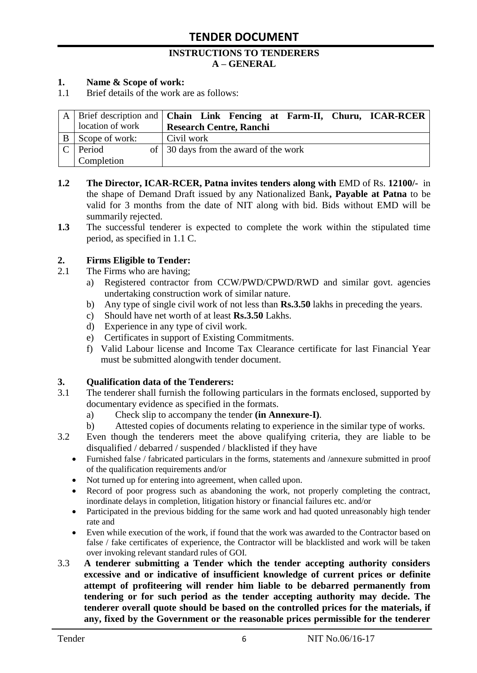#### **INSTRUCTIONS TO TENDERERS A – GENERAL**

#### **1. Name & Scope of work:**

1.1 Brief details of the work are as follows:

|   |                  | A Brief description and <b>Chain</b> Link Fencing at Farm-II, Churu, ICAR-RCER |
|---|------------------|--------------------------------------------------------------------------------|
|   | location of work | <b>Research Centre, Ranchi</b>                                                 |
| B | Scope of work:   | Civil work                                                                     |
|   | Period           | of 30 days from the award of the work                                          |
|   | Completion       |                                                                                |

- **1.2 The Director, ICAR-RCER, Patna invites tenders along with** EMD of Rs. **12100/-** in the shape of Demand Draft issued by any Nationalized Bank**, Payable at Patna** to be valid for 3 months from the date of NIT along with bid. Bids without EMD will be summarily rejected.
- **1.3** The successful tenderer is expected to complete the work within the stipulated time period, as specified in 1.1 C.

#### **2. Firms Eligible to Tender:**

- 2.1 The Firms who are having;
	- a) Registered contractor from CCW/PWD/CPWD/RWD and similar govt. agencies undertaking construction work of similar nature.
	- b) Any type of single civil work of not less than **Rs.3.50** lakhs in preceding the years.
	- c) Should have net worth of at least **Rs.3.50** Lakhs.
	- d) Experience in any type of civil work.
	- e) Certificates in support of Existing Commitments.
	- f) Valid Labour license and Income Tax Clearance certificate for last Financial Year must be submitted alongwith tender document.

#### **3. Qualification data of the Tenderers:**

- 3.1 The tenderer shall furnish the following particulars in the formats enclosed, supported by documentary evidence as specified in the formats.
	- a) Check slip to accompany the tender **(in Annexure-I)**.
	- b) Attested copies of documents relating to experience in the similar type of works.
- 3.2 Even though the tenderers meet the above qualifying criteria, they are liable to be disqualified / debarred / suspended / blacklisted if they have
	- Furnished false / fabricated particulars in the forms, statements and /annexure submitted in proof of the qualification requirements and/or
	- Not turned up for entering into agreement, when called upon.
	- Record of poor progress such as abandoning the work, not properly completing the contract, inordinate delays in completion, litigation history or financial failures etc. and/or
	- Participated in the previous bidding for the same work and had quoted unreasonably high tender rate and
	- Even while execution of the work, if found that the work was awarded to the Contractor based on false / fake certificates of experience, the Contractor will be blacklisted and work will be taken over invoking relevant standard rules of GOI.
- 3.3 **A tenderer submitting a Tender which the tender accepting authority considers excessive and or indicative of insufficient knowledge of current prices or definite attempt of profiteering will render him liable to be debarred permanently from tendering or for such period as the tender accepting authority may decide. The tenderer overall quote should be based on the controlled prices for the materials, if any, fixed by the Government or the reasonable prices permissible for the tenderer**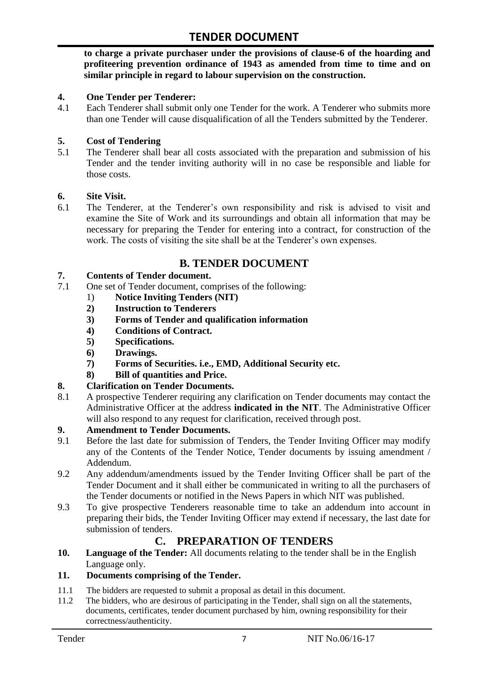**to charge a private purchaser under the provisions of clause-6 of the hoarding and profiteering prevention ordinance of 1943 as amended from time to time and on similar principle in regard to labour supervision on the construction.**

#### **4. One Tender per Tenderer:**

4.1 Each Tenderer shall submit only one Tender for the work. A Tenderer who submits more than one Tender will cause disqualification of all the Tenders submitted by the Tenderer.

#### **5. Cost of Tendering**

5.1 The Tenderer shall bear all costs associated with the preparation and submission of his Tender and the tender inviting authority will in no case be responsible and liable for those costs.

#### **6. Site Visit.**

6.1 The Tenderer, at the Tenderer"s own responsibility and risk is advised to visit and examine the Site of Work and its surroundings and obtain all information that may be necessary for preparing the Tender for entering into a contract, for construction of the work. The costs of visiting the site shall be at the Tenderer's own expenses.

# **B. TENDER DOCUMENT**

#### **7. Contents of Tender document.**

- 7.1 One set of Tender document, comprises of the following:
	- 1) **Notice Inviting Tenders (NIT)**
	- **2) Instruction to Tenderers**
	- **3) Forms of Tender and qualification information**
	- **4) Conditions of Contract.**
	- **5) Specifications.**
	- **6) Drawings.**
	- **7) Forms of Securities. i.e., EMD, Additional Security etc.**
	- **8) Bill of quantities and Price.**

# **8. Clarification on Tender Documents.**

8.1 A prospective Tenderer requiring any clarification on Tender documents may contact the Administrative Officer at the address **indicated in the NIT**. The Administrative Officer will also respond to any request for clarification, received through post.

#### **9. Amendment to Tender Documents.**

- 9.1 Before the last date for submission of Tenders, the Tender Inviting Officer may modify any of the Contents of the Tender Notice, Tender documents by issuing amendment / Addendum.
- 9.2 Any addendum/amendments issued by the Tender Inviting Officer shall be part of the Tender Document and it shall either be communicated in writing to all the purchasers of the Tender documents or notified in the News Papers in which NIT was published.
- 9.3 To give prospective Tenderers reasonable time to take an addendum into account in preparing their bids, the Tender Inviting Officer may extend if necessary, the last date for submission of tenders.

# **C. PREPARATION OF TENDERS**

**10. Language of the Tender:** All documents relating to the tender shall be in the English Language only.

#### **11. Documents comprising of the Tender.**

- 11.1 The bidders are requested to submit a proposal as detail in this document.<br>11.2 The bidders, who are desirous of participating in the Tender, shall sign on
- The bidders, who are desirous of participating in the Tender, shall sign on all the statements, documents, certificates, tender document purchased by him, owning responsibility for their correctness/authenticity.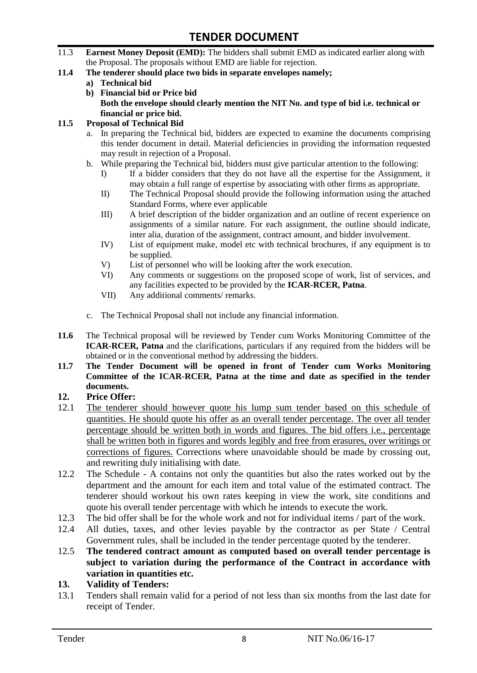- 11.3 **Earnest Money Deposit (EMD):** The bidders shall submit EMD as indicated earlier along with the Proposal. The proposals without EMD are liable for rejection.
- **11.4 The tenderer should place two bids in separate envelopes namely;**
	- **a) Technical bid**
	- **b) Financial bid or Price bid Both the envelope should clearly mention the NIT No. and type of bid i.e. technical or financial or price bid.**

#### **11.5 Proposal of Technical Bid**

- a. In preparing the Technical bid, bidders are expected to examine the documents comprising this tender document in detail. Material deficiencies in providing the information requested may result in rejection of a Proposal.
- b. While preparing the Technical bid, bidders must give particular attention to the following:
	- I) If a bidder considers that they do not have all the expertise for the Assignment, it may obtain a full range of expertise by associating with other firms as appropriate.
	- II) The Technical Proposal should provide the following information using the attached Standard Forms, where ever applicable
	- III) A brief description of the bidder organization and an outline of recent experience on assignments of a similar nature. For each assignment, the outline should indicate, inter alia, duration of the assignment, contract amount, and bidder involvement.
	- IV) List of equipment make, model etc with technical brochures, if any equipment is to be supplied.
	- V) List of personnel who will be looking after the work execution.
	- VI) Any comments or suggestions on the proposed scope of work, list of services, and any facilities expected to be provided by the **ICAR-RCER, Patna**.
	- VII) Any additional comments/ remarks.
- c. The Technical Proposal shall not include any financial information.
- **11.6** The Technical proposal will be reviewed by Tender cum Works Monitoring Committee of the **ICAR-RCER, Patna** and the clarifications, particulars if any required from the bidders will be obtained or in the conventional method by addressing the bidders.
- **11.7 The Tender Document will be opened in front of Tender cum Works Monitoring Committee of the ICAR-RCER, Patna at the time and date as specified in the tender documents.**

#### **12. Price Offer:**

- 12.1 The tenderer should however quote his lump sum tender based on this schedule of quantities. He should quote his offer as an overall tender percentage. The over all tender percentage should be written both in words and figures. The bid offers i.e., percentage shall be written both in figures and words legibly and free from erasures, over writings or corrections of figures. Corrections where unavoidable should be made by crossing out, and rewriting duly initialising with date.
- 12.2 The Schedule A contains not only the quantities but also the rates worked out by the department and the amount for each item and total value of the estimated contract. The tenderer should workout his own rates keeping in view the work, site conditions and quote his overall tender percentage with which he intends to execute the work.
- 12.3 The bid offer shall be for the whole work and not for individual items / part of the work.
- 12.4 All duties, taxes, and other levies payable by the contractor as per State / Central Government rules, shall be included in the tender percentage quoted by the tenderer.
- 12.5 **The tendered contract amount as computed based on overall tender percentage is subject to variation during the performance of the Contract in accordance with variation in quantities etc.**
- **13. Validity of Tenders:**
- 13.1 Tenders shall remain valid for a period of not less than six months from the last date for receipt of Tender.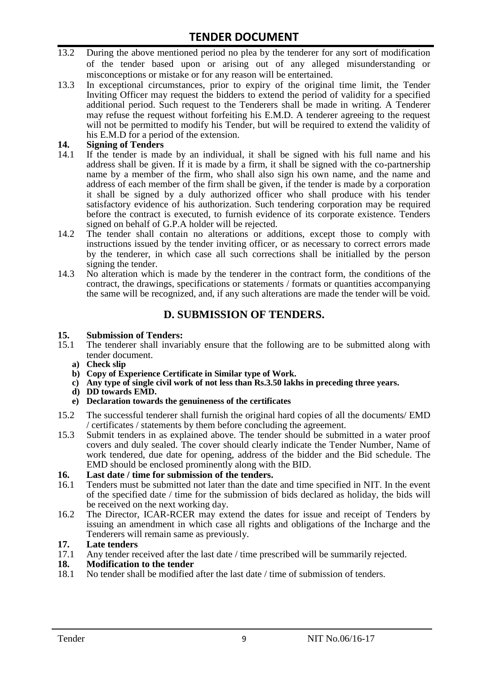- 13.2 During the above mentioned period no plea by the tenderer for any sort of modification of the tender based upon or arising out of any alleged misunderstanding or misconceptions or mistake or for any reason will be entertained.
- 13.3 In exceptional circumstances, prior to expiry of the original time limit, the Tender Inviting Officer may request the bidders to extend the period of validity for a specified additional period. Such request to the Tenderers shall be made in writing. A Tenderer may refuse the request without forfeiting his E.M.D. A tenderer agreeing to the request will not be permitted to modify his Tender, but will be required to extend the validity of his E.M.D for a period of the extension.

# 14. **Signing of Tenders**<br>14.1 If the tender is mag

- If the tender is made by an individual, it shall be signed with his full name and his address shall be given. If it is made by a firm, it shall be signed with the co-partnership name by a member of the firm, who shall also sign his own name, and the name and address of each member of the firm shall be given, if the tender is made by a corporation it shall be signed by a duly authorized officer who shall produce with his tender satisfactory evidence of his authorization. Such tendering corporation may be required before the contract is executed, to furnish evidence of its corporate existence. Tenders signed on behalf of G.P.A holder will be rejected.
- 14.2 The tender shall contain no alterations or additions, except those to comply with instructions issued by the tender inviting officer, or as necessary to correct errors made by the tenderer, in which case all such corrections shall be initialled by the person signing the tender.
- 14.3 No alteration which is made by the tenderer in the contract form, the conditions of the contract, the drawings, specifications or statements / formats or quantities accompanying the same will be recognized, and, if any such alterations are made the tender will be void.

# **D. SUBMISSION OF TENDERS.**

#### **15. Submission of Tenders:**

- 15.1 The tenderer shall invariably ensure that the following are to be submitted along with tender document.
	- **a) Check slip**
	- **b) Copy of Experience Certificate in Similar type of Work.**
	- **c) Any type of single civil work of not less than Rs.3.50 lakhs in preceding three years.**
	- **d) DD towards EMD.**
	- **e) Declaration towards the genuineness of the certificates**
- 15.2 The successful tenderer shall furnish the original hard copies of all the documents/ EMD / certificates / statements by them before concluding the agreement.
- 15.3 Submit tenders in as explained above. The tender should be submitted in a water proof covers and duly sealed. The cover should clearly indicate the Tender Number, Name of work tendered, due date for opening, address of the bidder and the Bid schedule. The EMD should be enclosed prominently along with the BID.

# **16. Last date / time for submission of the tenders.**

- 16.1 Tenders must be submitted not later than the date and time specified in NIT. In the event of the specified date / time for the submission of bids declared as holiday, the bids will be received on the next working day.
- 16.2 The Director, ICAR-RCER may extend the dates for issue and receipt of Tenders by issuing an amendment in which case all rights and obligations of the Incharge and the Tenderers will remain same as previously.

#### **17. Late tenders**

17.1 Any tender received after the last date / time prescribed will be summarily rejected.<br>18. Modification to the tender

# **18. Modification to the tender**<br>18.1 No tender shall be modified

No tender shall be modified after the last date / time of submission of tenders.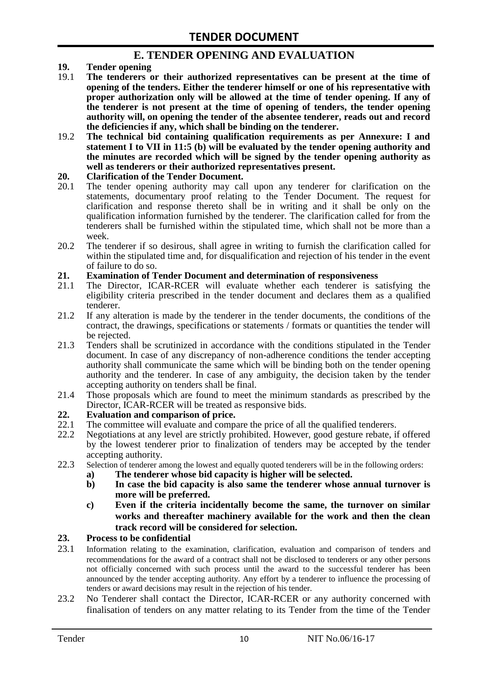# **E. TENDER OPENING AND EVALUATION**

- **19. Tender opening**
- 19.1 **The tenderers or their authorized representatives can be present at the time of opening of the tenders. Either the tenderer himself or one of his representative with proper authorization only will be allowed at the time of tender opening. If any of the tenderer is not present at the time of opening of tenders, the tender opening authority will, on opening the tender of the absentee tenderer, reads out and record the deficiencies if any, which shall be binding on the tenderer.**
- 19.2 **The technical bid containing qualification requirements as per Annexure: I and statement I to VII in 11:5 (b) will be evaluated by the tender opening authority and the minutes are recorded which will be signed by the tender opening authority as well as tenderers or their authorized representatives present.**

#### **20. Clarification of the Tender Document.**

- 20.1 The tender opening authority may call upon any tenderer for clarification on the statements, documentary proof relating to the Tender Document. The request for clarification and response thereto shall be in writing and it shall be only on the qualification information furnished by the tenderer. The clarification called for from the tenderers shall be furnished within the stipulated time, which shall not be more than a week.
- 20.2 The tenderer if so desirous, shall agree in writing to furnish the clarification called for within the stipulated time and, for disqualification and rejection of his tender in the event of failure to do so.

# **21. Examination of Tender Document and determination of responsiveness**

- 21.1 The Director, ICAR-RCER will evaluate whether each tenderer is satisfying the eligibility criteria prescribed in the tender document and declares them as a qualified tenderer.
- 21.2 If any alteration is made by the tenderer in the tender documents, the conditions of the contract, the drawings, specifications or statements / formats or quantities the tender will be rejected.
- 21.3 Tenders shall be scrutinized in accordance with the conditions stipulated in the Tender document. In case of any discrepancy of non-adherence conditions the tender accepting authority shall communicate the same which will be binding both on the tender opening authority and the tenderer. In case of any ambiguity, the decision taken by the tender accepting authority on tenders shall be final.
- 21.4 Those proposals which are found to meet the minimum standards as prescribed by the Director, ICAR-RCER will be treated as responsive bids.

# **22. Evaluation and comparison of price.**

- The committee will evaluate and compare the price of all the qualified tenderers.
- 22.2 Negotiations at any level are strictly prohibited. However, good gesture rebate, if offered by the lowest tenderer prior to finalization of tenders may be accepted by the tender accepting authority.
- 22.3 Selection of tenderer among the lowest and equally quoted tenderers will be in the following orders:
	- **a) The tenderer whose bid capacity is higher will be selected.**
	- **b) In case the bid capacity is also same the tenderer whose annual turnover is more will be preferred.**
	- **c) Even if the criteria incidentally become the same, the turnover on similar works and thereafter machinery available for the work and then the clean track record will be considered for selection.**

#### **23. Process to be confidential**

- 23.1 Information relating to the examination, clarification, evaluation and comparison of tenders and recommendations for the award of a contract shall not be disclosed to tenderers or any other persons not officially concerned with such process until the award to the successful tenderer has been announced by the tender accepting authority. Any effort by a tenderer to influence the processing of tenders or award decisions may result in the rejection of his tender.
- 23.2 No Tenderer shall contact the Director, ICAR-RCER or any authority concerned with finalisation of tenders on any matter relating to its Tender from the time of the Tender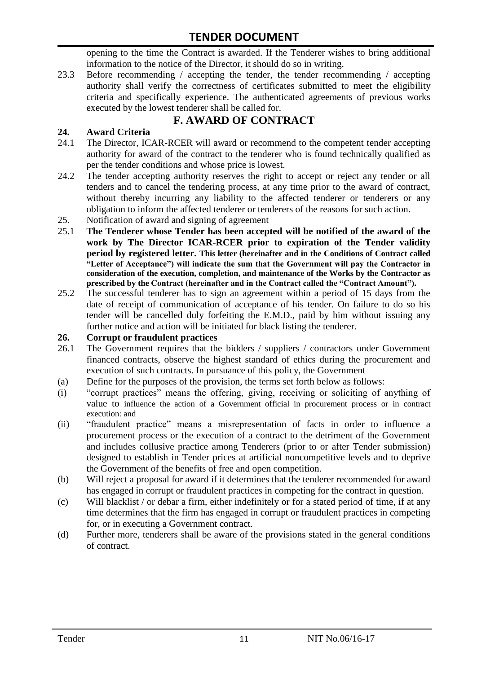opening to the time the Contract is awarded. If the Tenderer wishes to bring additional information to the notice of the Director, it should do so in writing.

23.3 Before recommending / accepting the tender, the tender recommending / accepting authority shall verify the correctness of certificates submitted to meet the eligibility criteria and specifically experience. The authenticated agreements of previous works executed by the lowest tenderer shall be called for.

# **F. AWARD OF CONTRACT**

# **24. Award Criteria**

- 24.1 The Director, ICAR-RCER will award or recommend to the competent tender accepting authority for award of the contract to the tenderer who is found technically qualified as per the tender conditions and whose price is lowest.
- 24.2 The tender accepting authority reserves the right to accept or reject any tender or all tenders and to cancel the tendering process, at any time prior to the award of contract, without thereby incurring any liability to the affected tenderer or tenderers or any obligation to inform the affected tenderer or tenderers of the reasons for such action.
- 25. Notification of award and signing of agreement
- 25.1 **The Tenderer whose Tender has been accepted will be notified of the award of the work by The Director ICAR-RCER prior to expiration of the Tender validity period by registered letter. This letter (hereinafter and in the Conditions of Contract called "Letter of Acceptance") will indicate the sum that the Government will pay the Contractor in consideration of the execution, completion, and maintenance of the Works by the Contractor as prescribed by the Contract (hereinafter and in the Contract called the "Contract Amount").**
- 25.2 The successful tenderer has to sign an agreement within a period of 15 days from the date of receipt of communication of acceptance of his tender. On failure to do so his tender will be cancelled duly forfeiting the E.M.D., paid by him without issuing any further notice and action will be initiated for black listing the tenderer.

### **26. Corrupt or fraudulent practices**

- 26.1 The Government requires that the bidders / suppliers / contractors under Government financed contracts, observe the highest standard of ethics during the procurement and execution of such contracts. In pursuance of this policy, the Government
- (a) Define for the purposes of the provision, the terms set forth below as follows:
- (i) "corrupt practices" means the offering, giving, receiving or soliciting of anything of value to influence the action of a Government official in procurement process or in contract execution: and
- (ii) "fraudulent practice" means a misrepresentation of facts in order to influence a procurement process or the execution of a contract to the detriment of the Government and includes collusive practice among Tenderers (prior to or after Tender submission) designed to establish in Tender prices at artificial noncompetitive levels and to deprive the Government of the benefits of free and open competition.
- (b) Will reject a proposal for award if it determines that the tenderer recommended for award has engaged in corrupt or fraudulent practices in competing for the contract in question.
- (c) Will blacklist / or debar a firm, either indefinitely or for a stated period of time, if at any time determines that the firm has engaged in corrupt or fraudulent practices in competing for, or in executing a Government contract.
- (d) Further more, tenderers shall be aware of the provisions stated in the general conditions of contract.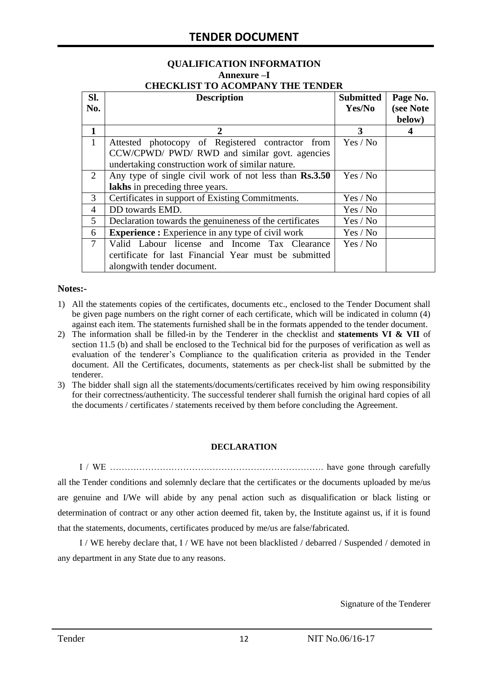# **QUALIFICATION INFORMATION Annexure –I**

| <b>CHECKLIST TO ACOMPANY THE TENDER</b> |  |
|-----------------------------------------|--|
|                                         |  |

| SI.<br>No.     | <b>Description</b>                                       | <b>Submitted</b><br>Yes/No | Page No.<br>(see Note |
|----------------|----------------------------------------------------------|----------------------------|-----------------------|
|                |                                                          |                            | below)                |
| $\mathbf{1}$   | 2                                                        | 3                          | 4                     |
| $\mathbf{1}$   | Attested photocopy of Registered contractor from         | Yes / No                   |                       |
|                | CCW/CPWD/ PWD/ RWD and similar govt. agencies            |                            |                       |
|                | undertaking construction work of similar nature.         |                            |                       |
| 2              | Any type of single civil work of not less than Rs.3.50   | Yes / No                   |                       |
|                | lakhs in preceding three years.                          |                            |                       |
| 3              | Certificates in support of Existing Commitments.         | Yes / No                   |                       |
| $\overline{4}$ | DD towards EMD.                                          | Yes / No                   |                       |
| 5              | Declaration towards the genuineness of the certificates  | Yes / No                   |                       |
| 6              | <b>Experience :</b> Experience in any type of civil work | Yes / No                   |                       |
| $\tau$         | Valid Labour license and Income Tax Clearance            | Yes / No                   |                       |
|                | certificate for last Financial Year must be submitted    |                            |                       |
|                | alongwith tender document.                               |                            |                       |

#### **Notes:-**

- 1) All the statements copies of the certificates, documents etc., enclosed to the Tender Document shall be given page numbers on the right corner of each certificate, which will be indicated in column (4) against each item. The statements furnished shall be in the formats appended to the tender document.
- 2) The information shall be filled-in by the Tenderer in the checklist and **statements VI & VII** of section 11.5 (b) and shall be enclosed to the Technical bid for the purposes of verification as well as evaluation of the tenderer"s Compliance to the qualification criteria as provided in the Tender document. All the Certificates, documents, statements as per check-list shall be submitted by the tenderer.
- 3) The bidder shall sign all the statements/documents/certificates received by him owing responsibility for their correctness/authenticity. The successful tenderer shall furnish the original hard copies of all the documents / certificates / statements received by them before concluding the Agreement.

#### **DECLARATION**

I / WE ………………………………………………………………. have gone through carefully all the Tender conditions and solemnly declare that the certificates or the documents uploaded by me/us are genuine and I/We will abide by any penal action such as disqualification or black listing or determination of contract or any other action deemed fit, taken by, the Institute against us, if it is found that the statements, documents, certificates produced by me/us are false/fabricated.

I / WE hereby declare that, I / WE have not been blacklisted / debarred / Suspended / demoted in any department in any State due to any reasons.

Signature of the Tenderer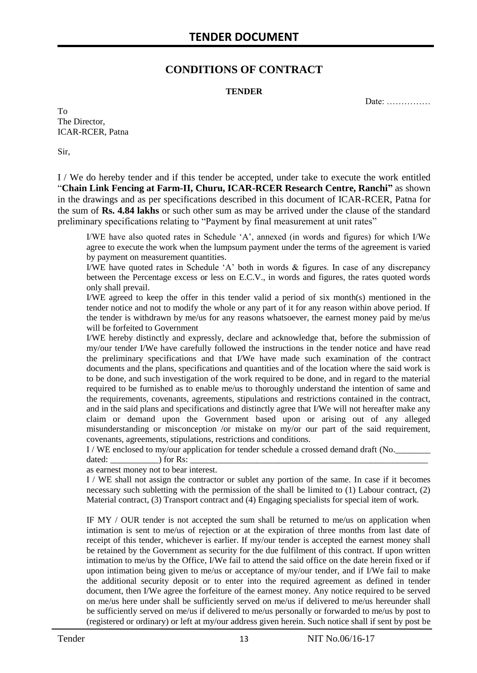# **CONDITIONS OF CONTRACT**

#### **TENDER**

Date: ……………

To The Director, ICAR-RCER, Patna

Sir,

I / We do hereby tender and if this tender be accepted, under take to execute the work entitled "**Chain Link Fencing at Farm-II, Churu, ICAR-RCER Research Centre, Ranchi"** as shown in the drawings and as per specifications described in this document of ICAR-RCER, Patna for the sum of **Rs. 4.84 lakhs** or such other sum as may be arrived under the clause of the standard preliminary specifications relating to "Payment by final measurement at unit rates"

I/WE have also quoted rates in Schedule "A", annexed (in words and figures) for which I/We agree to execute the work when the lumpsum payment under the terms of the agreement is varied by payment on measurement quantities.

I/WE have quoted rates in Schedule "A" both in words & figures. In case of any discrepancy between the Percentage excess or less on E.C.V., in words and figures, the rates quoted words only shall prevail.

I/WE agreed to keep the offer in this tender valid a period of six month(s) mentioned in the tender notice and not to modify the whole or any part of it for any reason within above period. If the tender is withdrawn by me/us for any reasons whatsoever, the earnest money paid by me/us will be forfeited to Government

I/WE hereby distinctly and expressly, declare and acknowledge that, before the submission of my/our tender I/We have carefully followed the instructions in the tender notice and have read the preliminary specifications and that I/We have made such examination of the contract documents and the plans, specifications and quantities and of the location where the said work is to be done, and such investigation of the work required to be done, and in regard to the material required to be furnished as to enable me/us to thoroughly understand the intention of same and the requirements, covenants, agreements, stipulations and restrictions contained in the contract, and in the said plans and specifications and distinctly agree that I/We will not hereafter make any claim or demand upon the Government based upon or arising out of any alleged misunderstanding or misconception /or mistake on my/or our part of the said requirement, covenants, agreements, stipulations, restrictions and conditions.

I / WE enclosed to my/our application for tender schedule a crossed demand draft (No.

dated: \_\_\_\_\_\_\_\_\_\_\_) for Rs: \_\_\_\_\_\_\_\_\_\_\_\_\_\_\_\_\_\_\_\_\_\_\_\_\_\_\_\_\_\_\_\_\_\_\_\_\_\_\_\_\_\_\_\_\_\_\_\_\_\_\_\_\_\_

as earnest money not to bear interest.

I / WE shall not assign the contractor or sublet any portion of the same. In case if it becomes necessary such subletting with the permission of the shall be limited to (1) Labour contract, (2) Material contract, (3) Transport contract and (4) Engaging specialists for special item of work.

IF MY / OUR tender is not accepted the sum shall be returned to me/us on application when intimation is sent to me/us of rejection or at the expiration of three months from last date of receipt of this tender, whichever is earlier. If my/our tender is accepted the earnest money shall be retained by the Government as security for the due fulfilment of this contract. If upon written intimation to me/us by the Office, I/We fail to attend the said office on the date herein fixed or if upon intimation being given to me/us or acceptance of my/our tender, and if I/We fail to make the additional security deposit or to enter into the required agreement as defined in tender document, then I/We agree the forfeiture of the earnest money. Any notice required to be served on me/us here under shall be sufficiently served on me/us if delivered to me/us hereunder shall be sufficiently served on me/us if delivered to me/us personally or forwarded to me/us by post to (registered or ordinary) or left at my/our address given herein. Such notice shall if sent by post be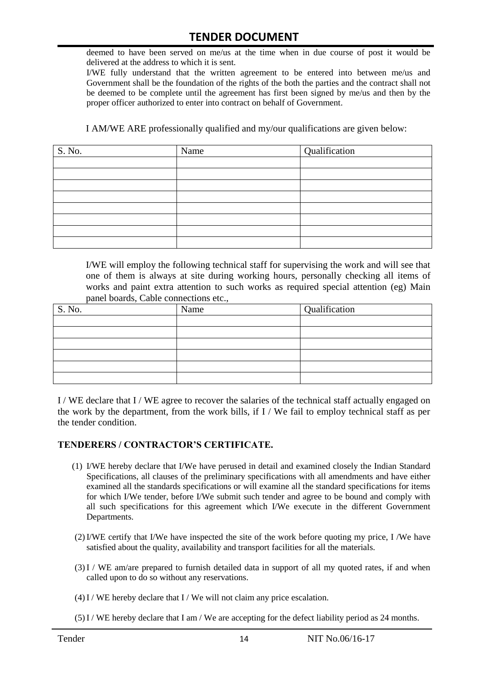deemed to have been served on me/us at the time when in due course of post it would be delivered at the address to which it is sent.

I/WE fully understand that the written agreement to be entered into between me/us and Government shall be the foundation of the rights of the both the parties and the contract shall not be deemed to be complete until the agreement has first been signed by me/us and then by the proper officer authorized to enter into contract on behalf of Government.

I AM/WE ARE professionally qualified and my/our qualifications are given below:

| S. No. | Name | Qualification |
|--------|------|---------------|
|        |      |               |
|        |      |               |
|        |      |               |
|        |      |               |
|        |      |               |
|        |      |               |
|        |      |               |
|        |      |               |

I/WE will employ the following technical staff for supervising the work and will see that one of them is always at site during working hours, personally checking all items of works and paint extra attention to such works as required special attention (eg) Main panel boards, Cable connections etc.,

| S. No. | Name | Qualification |
|--------|------|---------------|
|        |      |               |
|        |      |               |
|        |      |               |
|        |      |               |
|        |      |               |
|        |      |               |

I / WE declare that I / WE agree to recover the salaries of the technical staff actually engaged on the work by the department, from the work bills, if I / We fail to employ technical staff as per the tender condition.

#### **TENDERERS / CONTRACTOR'S CERTIFICATE.**

- (1) I/WE hereby declare that I/We have perused in detail and examined closely the Indian Standard Specifications, all clauses of the preliminary specifications with all amendments and have either examined all the standards specifications or will examine all the standard specifications for items for which I/We tender, before I/We submit such tender and agree to be bound and comply with all such specifications for this agreement which I/We execute in the different Government Departments.
- (2)I/WE certify that I/We have inspected the site of the work before quoting my price, I /We have satisfied about the quality, availability and transport facilities for all the materials.
- (3)I / WE am/are prepared to furnish detailed data in support of all my quoted rates, if and when called upon to do so without any reservations.
- $(4)$ I / WE hereby declare that I / We will not claim any price escalation.
- (5)I / WE hereby declare that I am / We are accepting for the defect liability period as 24 months.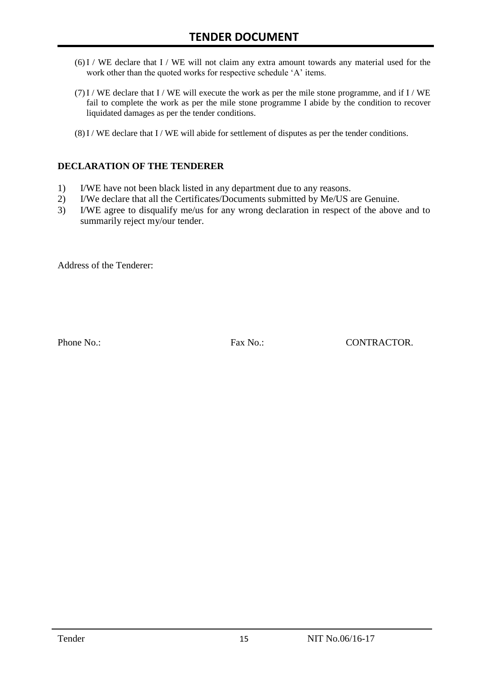- (6)I / WE declare that I / WE will not claim any extra amount towards any material used for the work other than the quoted works for respective schedule 'A' items.
- $(7)$  I / WE declare that I / WE will execute the work as per the mile stone programme, and if I / WE fail to complete the work as per the mile stone programme I abide by the condition to recover liquidated damages as per the tender conditions.
- (8)I / WE declare that I / WE will abide for settlement of disputes as per the tender conditions.

#### **DECLARATION OF THE TENDERER**

- 1) I/WE have not been black listed in any department due to any reasons.
- 2) I/We declare that all the Certificates/Documents submitted by Me/US are Genuine.
- 3) I/WE agree to disqualify me/us for any wrong declaration in respect of the above and to summarily reject my/our tender.

Address of the Tenderer:

Phone No.: Fax No.: Fax No.: CONTRACTOR.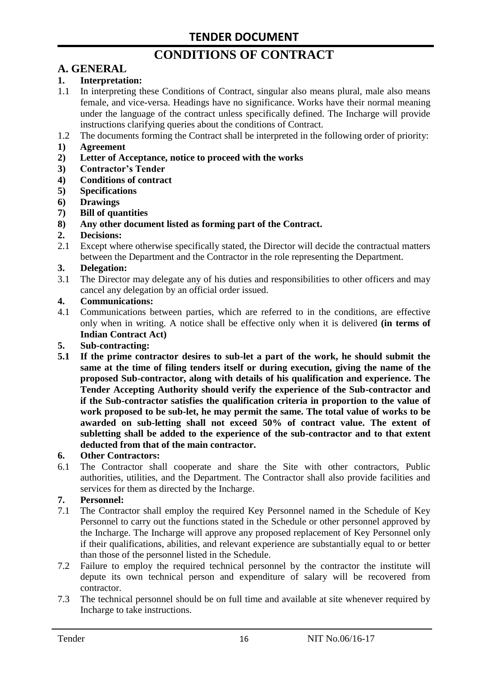# **CONDITIONS OF CONTRACT**

# **A. GENERAL**

### **1. Interpretation:**

- 1.1 In interpreting these Conditions of Contract, singular also means plural, male also means female, and vice-versa. Headings have no significance. Works have their normal meaning under the language of the contract unless specifically defined. The Incharge will provide instructions clarifying queries about the conditions of Contract.
- 1.2 The documents forming the Contract shall be interpreted in the following order of priority:
- **1) Agreement**
- **2) Letter of Acceptance, notice to proceed with the works**
- **3) Contractor's Tender**
- **4) Conditions of contract**
- **5) Specifications**
- **6) Drawings**
- **7) Bill of quantities**
- **8) Any other document listed as forming part of the Contract.**

#### **2. Decisions:**

2.1 Except where otherwise specifically stated, the Director will decide the contractual matters between the Department and the Contractor in the role representing the Department.

#### **3. Delegation:**

3.1 The Director may delegate any of his duties and responsibilities to other officers and may cancel any delegation by an official order issued.

#### **4. Communications:**

4.1 Communications between parties, which are referred to in the conditions, are effective only when in writing. A notice shall be effective only when it is delivered **(in terms of Indian Contract Act)**

#### **5. Sub-contracting:**

**5.1 If the prime contractor desires to sub-let a part of the work, he should submit the same at the time of filing tenders itself or during execution, giving the name of the proposed Sub-contractor, along with details of his qualification and experience. The Tender Accepting Authority should verify the experience of the Sub-contractor and if the Sub-contractor satisfies the qualification criteria in proportion to the value of work proposed to be sub-let, he may permit the same. The total value of works to be awarded on sub-letting shall not exceed 50% of contract value. The extent of subletting shall be added to the experience of the sub-contractor and to that extent deducted from that of the main contractor.**

#### **6. Other Contractors:**

6.1 The Contractor shall cooperate and share the Site with other contractors, Public authorities, utilities, and the Department. The Contractor shall also provide facilities and services for them as directed by the Incharge.

#### **7. Personnel:**

- 7.1 The Contractor shall employ the required Key Personnel named in the Schedule of Key Personnel to carry out the functions stated in the Schedule or other personnel approved by the Incharge. The Incharge will approve any proposed replacement of Key Personnel only if their qualifications, abilities, and relevant experience are substantially equal to or better than those of the personnel listed in the Schedule.
- 7.2 Failure to employ the required technical personnel by the contractor the institute will depute its own technical person and expenditure of salary will be recovered from contractor.
- 7.3 The technical personnel should be on full time and available at site whenever required by Incharge to take instructions.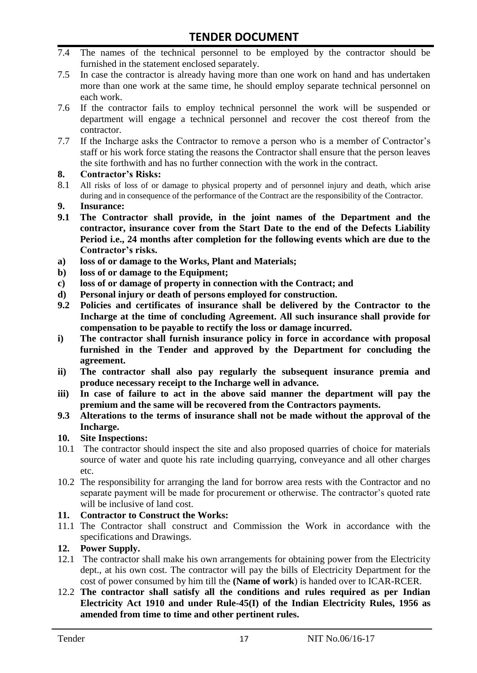- 7.4 The names of the technical personnel to be employed by the contractor should be furnished in the statement enclosed separately.
- 7.5 In case the contractor is already having more than one work on hand and has undertaken more than one work at the same time, he should employ separate technical personnel on each work.
- 7.6 If the contractor fails to employ technical personnel the work will be suspended or department will engage a technical personnel and recover the cost thereof from the contractor.
- 7.7 If the Incharge asks the Contractor to remove a person who is a member of Contractor"s staff or his work force stating the reasons the Contractor shall ensure that the person leaves the site forthwith and has no further connection with the work in the contract.

#### **8. Contractor's Risks:**

- 8.1 All risks of loss of or damage to physical property and of personnel injury and death, which arise during and in consequence of the performance of the Contract are the responsibility of the Contractor.
- **9. Insurance:**
- **9.1 The Contractor shall provide, in the joint names of the Department and the contractor, insurance cover from the Start Date to the end of the Defects Liability Period i.e., 24 months after completion for the following events which are due to the Contractor's risks.**
- **a) loss of or damage to the Works, Plant and Materials;**
- **b) loss of or damage to the Equipment;**
- **c) loss of or damage of property in connection with the Contract; and**
- **d) Personal injury or death of persons employed for construction.**
- **9.2 Policies and certificates of insurance shall be delivered by the Contractor to the Incharge at the time of concluding Agreement. All such insurance shall provide for compensation to be payable to rectify the loss or damage incurred.**
- **i) The contractor shall furnish insurance policy in force in accordance with proposal furnished in the Tender and approved by the Department for concluding the agreement.**
- **ii) The contractor shall also pay regularly the subsequent insurance premia and produce necessary receipt to the Incharge well in advance.**
- **iii) In case of failure to act in the above said manner the department will pay the premium and the same will be recovered from the Contractors payments.**
- **9.3 Alterations to the terms of insurance shall not be made without the approval of the Incharge.**

# **10. Site Inspections:**

- 10.1 The contractor should inspect the site and also proposed quarries of choice for materials source of water and quote his rate including quarrying, conveyance and all other charges etc.
- 10.2 The responsibility for arranging the land for borrow area rests with the Contractor and no separate payment will be made for procurement or otherwise. The contractor's quoted rate will be inclusive of land cost.

# **11. Contractor to Construct the Works:**

11.1 The Contractor shall construct and Commission the Work in accordance with the specifications and Drawings.

# **12. Power Supply.**

- 12.1 The contractor shall make his own arrangements for obtaining power from the Electricity dept., at his own cost. The contractor will pay the bills of Electricity Department for the cost of power consumed by him till the **(Name of work**) is handed over to ICAR-RCER.
- 12.2 **The contractor shall satisfy all the conditions and rules required as per Indian Electricity Act 1910 and under Rule-45(I) of the Indian Electricity Rules, 1956 as amended from time to time and other pertinent rules.**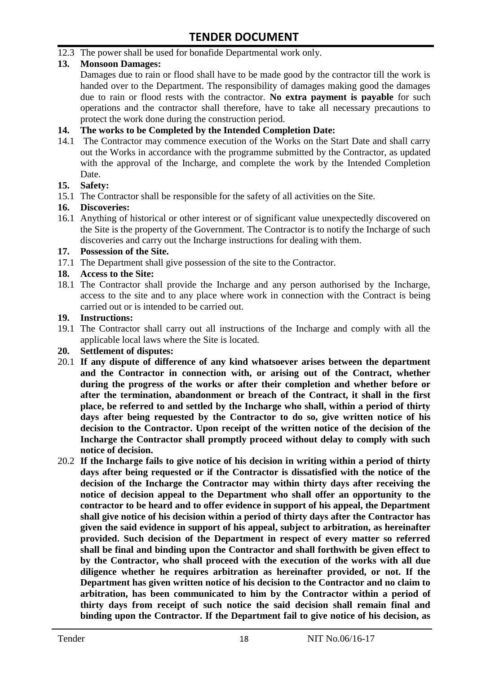12.3 The power shall be used for bonafide Departmental work only.

# **13. Monsoon Damages:**

Damages due to rain or flood shall have to be made good by the contractor till the work is handed over to the Department. The responsibility of damages making good the damages due to rain or flood rests with the contractor. **No extra payment is payable** for such operations and the contractor shall therefore, have to take all necessary precautions to protect the work done during the construction period.

#### **14. The works to be Completed by the Intended Completion Date:**

14.1 The Contractor may commence execution of the Works on the Start Date and shall carry out the Works in accordance with the programme submitted by the Contractor, as updated with the approval of the Incharge, and complete the work by the Intended Completion Date.

#### **15. Safety:**

15.1 The Contractor shall be responsible for the safety of all activities on the Site.

#### **16. Discoveries:**

16.1 Anything of historical or other interest or of significant value unexpectedly discovered on the Site is the property of the Government. The Contractor is to notify the Incharge of such discoveries and carry out the Incharge instructions for dealing with them.

#### **17. Possession of the Site.**

17.1 The Department shall give possession of the site to the Contractor.

# **18. Access to the Site:**

18.1 The Contractor shall provide the Incharge and any person authorised by the Incharge, access to the site and to any place where work in connection with the Contract is being carried out or is intended to be carried out.

#### **19. Instructions:**

- 19.1 The Contractor shall carry out all instructions of the Incharge and comply with all the applicable local laws where the Site is located.
- **20. Settlement of disputes:**
- 20.1 **If any dispute of difference of any kind whatsoever arises between the department and the Contractor in connection with, or arising out of the Contract, whether during the progress of the works or after their completion and whether before or after the termination, abandonment or breach of the Contract, it shall in the first place, be referred to and settled by the Incharge who shall, within a period of thirty days after being requested by the Contractor to do so, give written notice of his decision to the Contractor. Upon receipt of the written notice of the decision of the Incharge the Contractor shall promptly proceed without delay to comply with such notice of decision.**
- 20.2 **If the Incharge fails to give notice of his decision in writing within a period of thirty days after being requested or if the Contractor is dissatisfied with the notice of the decision of the Incharge the Contractor may within thirty days after receiving the notice of decision appeal to the Department who shall offer an opportunity to the contractor to be heard and to offer evidence in support of his appeal, the Department shall give notice of his decision within a period of thirty days after the Contractor has given the said evidence in support of his appeal, subject to arbitration, as hereinafter provided. Such decision of the Department in respect of every matter so referred shall be final and binding upon the Contractor and shall forthwith be given effect to by the Contractor, who shall proceed with the execution of the works with all due diligence whether he requires arbitration as hereinafter provided, or not. If the Department has given written notice of his decision to the Contractor and no claim to arbitration, has been communicated to him by the Contractor within a period of thirty days from receipt of such notice the said decision shall remain final and binding upon the Contractor. If the Department fail to give notice of his decision, as**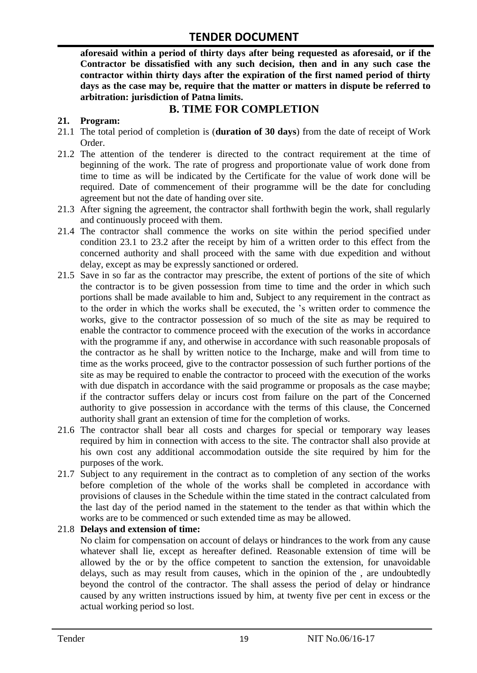**aforesaid within a period of thirty days after being requested as aforesaid, or if the Contractor be dissatisfied with any such decision, then and in any such case the contractor within thirty days after the expiration of the first named period of thirty days as the case may be, require that the matter or matters in dispute be referred to arbitration: jurisdiction of Patna limits.**

# **B. TIME FOR COMPLETION**

### **21. Program:**

- 21.1 The total period of completion is (**duration of 30 days**) from the date of receipt of Work Order.
- 21.2 The attention of the tenderer is directed to the contract requirement at the time of beginning of the work. The rate of progress and proportionate value of work done from time to time as will be indicated by the Certificate for the value of work done will be required. Date of commencement of their programme will be the date for concluding agreement but not the date of handing over site.
- 21.3 After signing the agreement, the contractor shall forthwith begin the work, shall regularly and continuously proceed with them.
- 21.4 The contractor shall commence the works on site within the period specified under condition 23.1 to 23.2 after the receipt by him of a written order to this effect from the concerned authority and shall proceed with the same with due expedition and without delay, except as may be expressly sanctioned or ordered.
- 21.5 Save in so far as the contractor may prescribe, the extent of portions of the site of which the contractor is to be given possession from time to time and the order in which such portions shall be made available to him and, Subject to any requirement in the contract as to the order in which the works shall be executed, the "s written order to commence the works, give to the contractor possession of so much of the site as may be required to enable the contractor to commence proceed with the execution of the works in accordance with the programme if any, and otherwise in accordance with such reasonable proposals of the contractor as he shall by written notice to the Incharge, make and will from time to time as the works proceed, give to the contractor possession of such further portions of the site as may be required to enable the contractor to proceed with the execution of the works with due dispatch in accordance with the said programme or proposals as the case maybe; if the contractor suffers delay or incurs cost from failure on the part of the Concerned authority to give possession in accordance with the terms of this clause, the Concerned authority shall grant an extension of time for the completion of works.
- 21.6 The contractor shall bear all costs and charges for special or temporary way leases required by him in connection with access to the site. The contractor shall also provide at his own cost any additional accommodation outside the site required by him for the purposes of the work.
- 21.7 Subject to any requirement in the contract as to completion of any section of the works before completion of the whole of the works shall be completed in accordance with provisions of clauses in the Schedule within the time stated in the contract calculated from the last day of the period named in the statement to the tender as that within which the works are to be commenced or such extended time as may be allowed.

#### 21.8 **Delays and extension of time:**

No claim for compensation on account of delays or hindrances to the work from any cause whatever shall lie, except as hereafter defined. Reasonable extension of time will be allowed by the or by the office competent to sanction the extension, for unavoidable delays, such as may result from causes, which in the opinion of the , are undoubtedly beyond the control of the contractor. The shall assess the period of delay or hindrance caused by any written instructions issued by him, at twenty five per cent in excess or the actual working period so lost.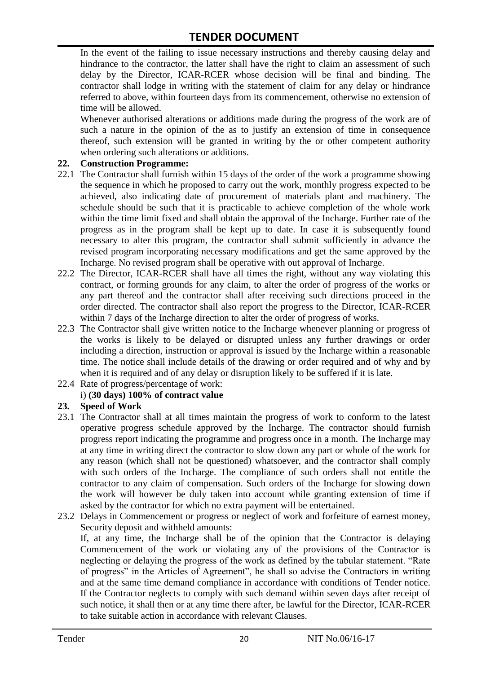In the event of the failing to issue necessary instructions and thereby causing delay and hindrance to the contractor, the latter shall have the right to claim an assessment of such delay by the Director, ICAR-RCER whose decision will be final and binding. The contractor shall lodge in writing with the statement of claim for any delay or hindrance referred to above, within fourteen days from its commencement, otherwise no extension of time will be allowed.

Whenever authorised alterations or additions made during the progress of the work are of such a nature in the opinion of the as to justify an extension of time in consequence thereof, such extension will be granted in writing by the or other competent authority when ordering such alterations or additions.

#### **22. Construction Programme:**

- 22.1 The Contractor shall furnish within 15 days of the order of the work a programme showing the sequence in which he proposed to carry out the work, monthly progress expected to be achieved, also indicating date of procurement of materials plant and machinery. The schedule should be such that it is practicable to achieve completion of the whole work within the time limit fixed and shall obtain the approval of the Incharge. Further rate of the progress as in the program shall be kept up to date. In case it is subsequently found necessary to alter this program, the contractor shall submit sufficiently in advance the revised program incorporating necessary modifications and get the same approved by the Incharge. No revised program shall be operative with out approval of Incharge.
- 22.2 The Director, ICAR-RCER shall have all times the right, without any way violating this contract, or forming grounds for any claim, to alter the order of progress of the works or any part thereof and the contractor shall after receiving such directions proceed in the order directed. The contractor shall also report the progress to the Director, ICAR-RCER within 7 days of the Incharge direction to alter the order of progress of works.
- 22.3 The Contractor shall give written notice to the Incharge whenever planning or progress of the works is likely to be delayed or disrupted unless any further drawings or order including a direction, instruction or approval is issued by the Incharge within a reasonable time. The notice shall include details of the drawing or order required and of why and by when it is required and of any delay or disruption likely to be suffered if it is late.
- 22.4 Rate of progress/percentage of work:

# i) **(30 days) 100% of contract value**

#### **23. Speed of Work**

- 23.1 The Contractor shall at all times maintain the progress of work to conform to the latest operative progress schedule approved by the Incharge. The contractor should furnish progress report indicating the programme and progress once in a month. The Incharge may at any time in writing direct the contractor to slow down any part or whole of the work for any reason (which shall not be questioned) whatsoever, and the contractor shall comply with such orders of the Incharge. The compliance of such orders shall not entitle the contractor to any claim of compensation. Such orders of the Incharge for slowing down the work will however be duly taken into account while granting extension of time if asked by the contractor for which no extra payment will be entertained.
- 23.2 Delays in Commencement or progress or neglect of work and forfeiture of earnest money, Security deposit and withheld amounts:

If, at any time, the Incharge shall be of the opinion that the Contractor is delaying Commencement of the work or violating any of the provisions of the Contractor is neglecting or delaying the progress of the work as defined by the tabular statement. "Rate of progress" in the Articles of Agreement", he shall so advise the Contractors in writing and at the same time demand compliance in accordance with conditions of Tender notice. If the Contractor neglects to comply with such demand within seven days after receipt of such notice, it shall then or at any time there after, be lawful for the Director, ICAR-RCER to take suitable action in accordance with relevant Clauses.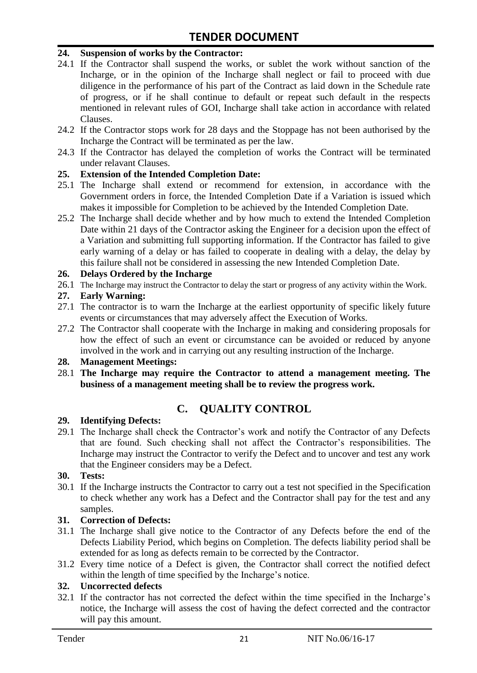#### **24. Suspension of works by the Contractor:**

- 24.1 If the Contractor shall suspend the works, or sublet the work without sanction of the Incharge, or in the opinion of the Incharge shall neglect or fail to proceed with due diligence in the performance of his part of the Contract as laid down in the Schedule rate of progress, or if he shall continue to default or repeat such default in the respects mentioned in relevant rules of GOI, Incharge shall take action in accordance with related Clauses.
- 24.2 If the Contractor stops work for 28 days and the Stoppage has not been authorised by the Incharge the Contract will be terminated as per the law.
- 24.3 If the Contractor has delayed the completion of works the Contract will be terminated under relavant Clauses.

#### **25. Extension of the Intended Completion Date:**

- 25.1 The Incharge shall extend or recommend for extension, in accordance with the Government orders in force, the Intended Completion Date if a Variation is issued which makes it impossible for Completion to be achieved by the Intended Completion Date.
- 25.2 The Incharge shall decide whether and by how much to extend the Intended Completion Date within 21 days of the Contractor asking the Engineer for a decision upon the effect of a Variation and submitting full supporting information. If the Contractor has failed to give early warning of a delay or has failed to cooperate in dealing with a delay, the delay by this failure shall not be considered in assessing the new Intended Completion Date.

#### **26. Delays Ordered by the Incharge**

26.1 The Incharge may instruct the Contractor to delay the start or progress of any activity within the Work.

#### **27. Early Warning:**

- 27.1 The contractor is to warn the Incharge at the earliest opportunity of specific likely future events or circumstances that may adversely affect the Execution of Works.
- 27.2 The Contractor shall cooperate with the Incharge in making and considering proposals for how the effect of such an event or circumstance can be avoided or reduced by anyone involved in the work and in carrying out any resulting instruction of the Incharge.

#### **28. Management Meetings:**

28.1 **The Incharge may require the Contractor to attend a management meeting. The business of a management meeting shall be to review the progress work.**

# **C. QUALITY CONTROL**

#### **29. Identifying Defects:**

29.1 The Incharge shall check the Contractor's work and notify the Contractor of any Defects that are found. Such checking shall not affect the Contractor"s responsibilities. The Incharge may instruct the Contractor to verify the Defect and to uncover and test any work that the Engineer considers may be a Defect.

#### **30. Tests:**

30.1 If the Incharge instructs the Contractor to carry out a test not specified in the Specification to check whether any work has a Defect and the Contractor shall pay for the test and any samples.

#### **31. Correction of Defects:**

- 31.1 The Incharge shall give notice to the Contractor of any Defects before the end of the Defects Liability Period, which begins on Completion. The defects liability period shall be extended for as long as defects remain to be corrected by the Contractor.
- 31.2 Every time notice of a Defect is given, the Contractor shall correct the notified defect within the length of time specified by the Incharge's notice.

# **32. Uncorrected defects**

32.1 If the contractor has not corrected the defect within the time specified in the Incharge"s notice, the Incharge will assess the cost of having the defect corrected and the contractor will pay this amount.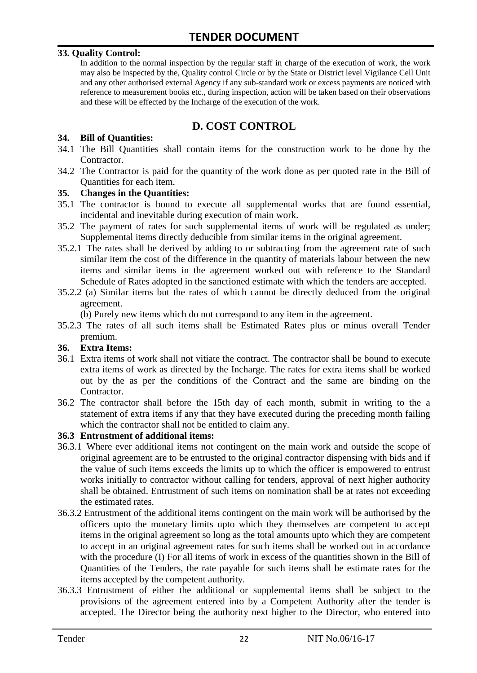#### **33. Quality Control:**

In addition to the normal inspection by the regular staff in charge of the execution of work, the work may also be inspected by the, Quality control Circle or by the State or District level Vigilance Cell Unit and any other authorised external Agency if any sub-standard work or excess payments are noticed with reference to measurement books etc., during inspection, action will be taken based on their observations and these will be effected by the Incharge of the execution of the work.

# **D. COST CONTROL**

#### **34. Bill of Quantities:**

- 34.1 The Bill Quantities shall contain items for the construction work to be done by the Contractor.
- 34.2 The Contractor is paid for the quantity of the work done as per quoted rate in the Bill of Quantities for each item.

#### **35. Changes in the Quantities:**

- 35.1 The contractor is bound to execute all supplemental works that are found essential, incidental and inevitable during execution of main work.
- 35.2 The payment of rates for such supplemental items of work will be regulated as under; Supplemental items directly deducible from similar items in the original agreement.
- 35.2.1 The rates shall be derived by adding to or subtracting from the agreement rate of such similar item the cost of the difference in the quantity of materials labour between the new items and similar items in the agreement worked out with reference to the Standard Schedule of Rates adopted in the sanctioned estimate with which the tenders are accepted.
- 35.2.2 (a) Similar items but the rates of which cannot be directly deduced from the original agreement.

(b) Purely new items which do not correspond to any item in the agreement.

35.2.3 The rates of all such items shall be Estimated Rates plus or minus overall Tender premium.

#### **36. Extra Items:**

- 36.1 Extra items of work shall not vitiate the contract. The contractor shall be bound to execute extra items of work as directed by the Incharge. The rates for extra items shall be worked out by the as per the conditions of the Contract and the same are binding on the Contractor.
- 36.2 The contractor shall before the 15th day of each month, submit in writing to the a statement of extra items if any that they have executed during the preceding month failing which the contractor shall not be entitled to claim any.

#### **36.3 Entrustment of additional items:**

- 36.3.1 Where ever additional items not contingent on the main work and outside the scope of original agreement are to be entrusted to the original contractor dispensing with bids and if the value of such items exceeds the limits up to which the officer is empowered to entrust works initially to contractor without calling for tenders, approval of next higher authority shall be obtained. Entrustment of such items on nomination shall be at rates not exceeding the estimated rates.
- 36.3.2 Entrustment of the additional items contingent on the main work will be authorised by the officers upto the monetary limits upto which they themselves are competent to accept items in the original agreement so long as the total amounts upto which they are competent to accept in an original agreement rates for such items shall be worked out in accordance with the procedure (I) For all items of work in excess of the quantities shown in the Bill of Quantities of the Tenders, the rate payable for such items shall be estimate rates for the items accepted by the competent authority.
- 36.3.3 Entrustment of either the additional or supplemental items shall be subject to the provisions of the agreement entered into by a Competent Authority after the tender is accepted. The Director being the authority next higher to the Director, who entered into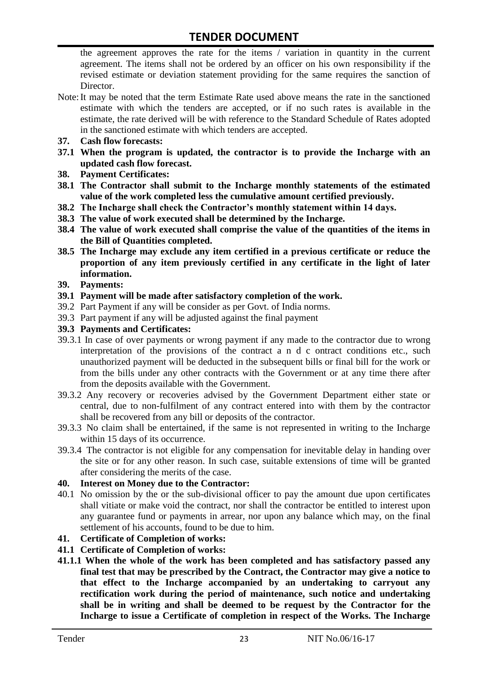the agreement approves the rate for the items / variation in quantity in the current agreement. The items shall not be ordered by an officer on his own responsibility if the revised estimate or deviation statement providing for the same requires the sanction of Director.

- Note:It may be noted that the term Estimate Rate used above means the rate in the sanctioned estimate with which the tenders are accepted, or if no such rates is available in the estimate, the rate derived will be with reference to the Standard Schedule of Rates adopted in the sanctioned estimate with which tenders are accepted.
- **37. Cash flow forecasts:**
- **37.1 When the program is updated, the contractor is to provide the Incharge with an updated cash flow forecast.**
- **38. Payment Certificates:**
- **38.1 The Contractor shall submit to the Incharge monthly statements of the estimated value of the work completed less the cumulative amount certified previously.**
- **38.2 The Incharge shall check the Contractor's monthly statement within 14 days.**
- **38.3 The value of work executed shall be determined by the Incharge.**
- **38.4 The value of work executed shall comprise the value of the quantities of the items in the Bill of Quantities completed.**
- **38.5 The Incharge may exclude any item certified in a previous certificate or reduce the proportion of any item previously certified in any certificate in the light of later information.**
- **39. Payments:**
- **39.1 Payment will be made after satisfactory completion of the work.**
- 39.2 Part Payment if any will be consider as per Govt. of India norms.
- 39.3 Part payment if any will be adjusted against the final payment
- **39.3 Payments and Certificates:**
- 39.3.1 In case of over payments or wrong payment if any made to the contractor due to wrong interpretation of the provisions of the contract a n d c ontract conditions etc., such unauthorized payment will be deducted in the subsequent bills or final bill for the work or from the bills under any other contracts with the Government or at any time there after from the deposits available with the Government.
- 39.3.2 Any recovery or recoveries advised by the Government Department either state or central, due to non-fulfilment of any contract entered into with them by the contractor shall be recovered from any bill or deposits of the contractor.
- 39.3.3 No claim shall be entertained, if the same is not represented in writing to the Incharge within 15 days of its occurrence.
- 39.3.4 The contractor is not eligible for any compensation for inevitable delay in handing over the site or for any other reason. In such case, suitable extensions of time will be granted after considering the merits of the case.

#### **40. Interest on Money due to the Contractor:**

- 40.1 No omission by the or the sub-divisional officer to pay the amount due upon certificates shall vitiate or make void the contract, nor shall the contractor be entitled to interest upon any guarantee fund or payments in arrear, nor upon any balance which may, on the final settlement of his accounts, found to be due to him.
- **41. Certificate of Completion of works:**
- **41.1 Certificate of Completion of works:**
- **41.1.1 When the whole of the work has been completed and has satisfactory passed any final test that may be prescribed by the Contract, the Contractor may give a notice to that effect to the Incharge accompanied by an undertaking to carryout any rectification work during the period of maintenance, such notice and undertaking shall be in writing and shall be deemed to be request by the Contractor for the Incharge to issue a Certificate of completion in respect of the Works. The Incharge**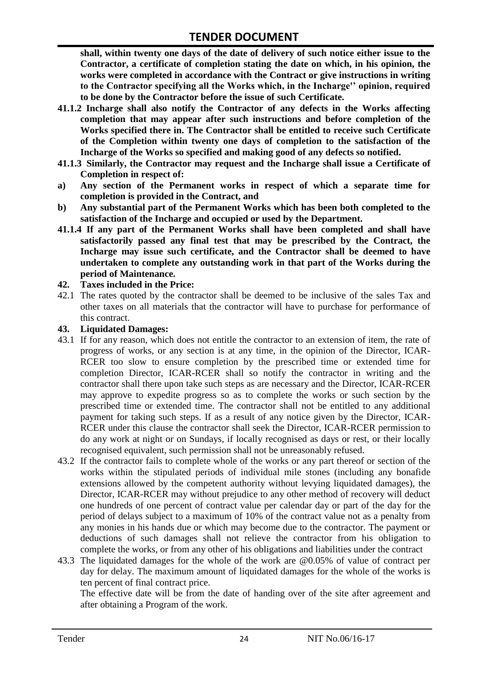**shall, within twenty one days of the date of delivery of such notice either issue to the Contractor, a certificate of completion stating the date on which, in his opinion, the works were completed in accordance with the Contract or give instructions in writing to the Contractor specifying all the Works which, in the Incharge'' opinion, required to be done by the Contractor before the issue of such Certificate.**

- **41.1.2 Incharge shall also notify the Contractor of any defects in the Works affecting completion that may appear after such instructions and before completion of the Works specified there in. The Contractor shall be entitled to receive such Certificate of the Completion within twenty one days of completion to the satisfaction of the Incharge of the Works so specified and making good of any defects so notified.**
- **41.1.3 Similarly, the Contractor may request and the Incharge shall issue a Certificate of Completion in respect of:**
- **a) Any section of the Permanent works in respect of which a separate time for completion is provided in the Contract, and**
- **b) Any substantial part of the Permanent Works which has been both completed to the satisfaction of the Incharge and occupied or used by the Department.**
- **41.1.4 If any part of the Permanent Works shall have been completed and shall have satisfactorily passed any final test that may be prescribed by the Contract, the Incharge may issue such certificate, and the Contractor shall be deemed to have undertaken to complete any outstanding work in that part of the Works during the period of Maintenance.**

#### **42. Taxes included in the Price:**

42.1 The rates quoted by the contractor shall be deemed to be inclusive of the sales Tax and other taxes on all materials that the contractor will have to purchase for performance of this contract.

#### **43. Liquidated Damages:**

- 43.1 If for any reason, which does not entitle the contractor to an extension of item, the rate of progress of works, or any section is at any time, in the opinion of the Director, ICAR-RCER too slow to ensure completion by the prescribed time or extended time for completion Director, ICAR-RCER shall so notify the contractor in writing and the contractor shall there upon take such steps as are necessary and the Director, ICAR-RCER may approve to expedite progress so as to complete the works or such section by the prescribed time or extended time. The contractor shall not be entitled to any additional payment for taking such steps. If as a result of any notice given by the Director, ICAR-RCER under this clause the contractor shall seek the Director, ICAR-RCER permission to do any work at night or on Sundays, if locally recognised as days or rest, or their locally recognised equivalent, such permission shall not be unreasonably refused.
- 43.2 If the contractor fails to complete whole of the works or any part thereof or section of the works within the stipulated periods of individual mile stones (including any bonafide extensions allowed by the competent authority without levying liquidated damages), the Director, ICAR-RCER may without prejudice to any other method of recovery will deduct one hundreds of one percent of contract value per calendar day or part of the day for the period of delays subject to a maximum of 10% of the contract value not as a penalty from any monies in his hands due or which may become due to the contractor. The payment or deductions of such damages shall not relieve the contractor from his obligation to complete the works, or from any other of his obligations and liabilities under the contract
- 43.3 The liquidated damages for the whole of the work are @0.05% of value of contract per day for delay. The maximum amount of liquidated damages for the whole of the works is ten percent of final contract price.

The effective date will be from the date of handing over of the site after agreement and after obtaining a Program of the work.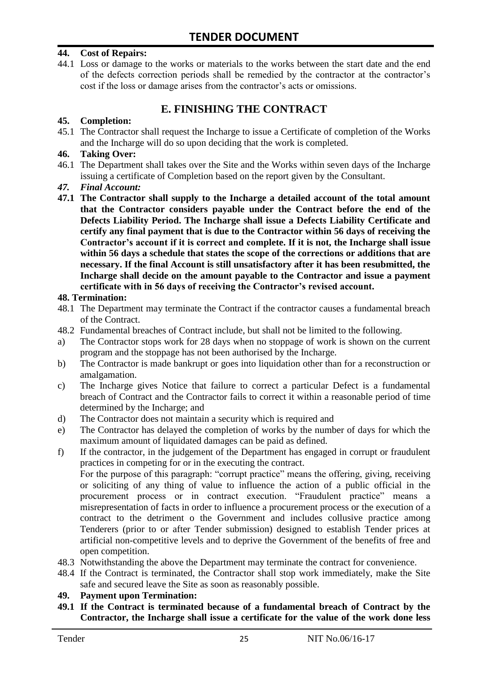#### **44. Cost of Repairs:**

44.1 Loss or damage to the works or materials to the works between the start date and the end of the defects correction periods shall be remedied by the contractor at the contractor"s cost if the loss or damage arises from the contractor's acts or omissions.

# **E. FINISHING THE CONTRACT**

#### **45. Completion:**

45.1 The Contractor shall request the Incharge to issue a Certificate of completion of the Works and the Incharge will do so upon deciding that the work is completed.

#### **46. Taking Over:**

- 46.1 The Department shall takes over the Site and the Works within seven days of the Incharge issuing a certificate of Completion based on the report given by the Consultant.
- *47. Final Account:*
- **47.1 The Contractor shall supply to the Incharge a detailed account of the total amount that the Contractor considers payable under the Contract before the end of the Defects Liability Period. The Incharge shall issue a Defects Liability Certificate and certify any final payment that is due to the Contractor within 56 days of receiving the Contractor's account if it is correct and complete. If it is not, the Incharge shall issue within 56 days a schedule that states the scope of the corrections or additions that are necessary. If the final Account is still unsatisfactory after it has been resubmitted, the Incharge shall decide on the amount payable to the Contractor and issue a payment certificate with in 56 days of receiving the Contractor's revised account.**

#### **48. Termination:**

- 48.1 The Department may terminate the Contract if the contractor causes a fundamental breach of the Contract.
- 48.2 Fundamental breaches of Contract include, but shall not be limited to the following.
- a) The Contractor stops work for 28 days when no stoppage of work is shown on the current program and the stoppage has not been authorised by the Incharge.
- b) The Contractor is made bankrupt or goes into liquidation other than for a reconstruction or amalgamation.
- c) The Incharge gives Notice that failure to correct a particular Defect is a fundamental breach of Contract and the Contractor fails to correct it within a reasonable period of time determined by the Incharge; and
- d) The Contractor does not maintain a security which is required and
- e) The Contractor has delayed the completion of works by the number of days for which the maximum amount of liquidated damages can be paid as defined.
- f) If the contractor, in the judgement of the Department has engaged in corrupt or fraudulent practices in competing for or in the executing the contract.

For the purpose of this paragraph: "corrupt practice" means the offering, giving, receiving or soliciting of any thing of value to influence the action of a public official in the procurement process or in contract execution. "Fraudulent practice" means a misrepresentation of facts in order to influence a procurement process or the execution of a contract to the detriment o the Government and includes collusive practice among Tenderers (prior to or after Tender submission) designed to establish Tender prices at artificial non-competitive levels and to deprive the Government of the benefits of free and open competition.

- 48.3 Notwithstanding the above the Department may terminate the contract for convenience.
- 48.4 If the Contract is terminated, the Contractor shall stop work immediately, make the Site safe and secured leave the Site as soon as reasonably possible.

#### **49. Payment upon Termination:**

**49.1 If the Contract is terminated because of a fundamental breach of Contract by the Contractor, the Incharge shall issue a certificate for the value of the work done less**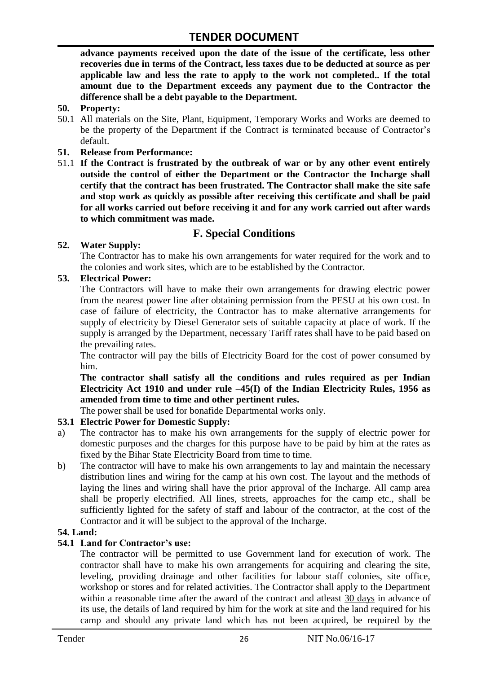**advance payments received upon the date of the issue of the certificate, less other recoveries due in terms of the Contract, less taxes due to be deducted at source as per applicable law and less the rate to apply to the work not completed.. If the total amount due to the Department exceeds any payment due to the Contractor the difference shall be a debt payable to the Department.**

- **50. Property:**
- 50.1 All materials on the Site, Plant, Equipment, Temporary Works and Works are deemed to be the property of the Department if the Contract is terminated because of Contractor's default.
- **51. Release from Performance:**
- 51.1 **If the Contract is frustrated by the outbreak of war or by any other event entirely outside the control of either the Department or the Contractor the Incharge shall certify that the contract has been frustrated. The Contractor shall make the site safe and stop work as quickly as possible after receiving this certificate and shall be paid for all works carried out before receiving it and for any work carried out after wards to which commitment was made.**

# **F. Special Conditions**

#### **52. Water Supply:**

The Contractor has to make his own arrangements for water required for the work and to the colonies and work sites, which are to be established by the Contractor.

#### **53. Electrical Power:**

The Contractors will have to make their own arrangements for drawing electric power from the nearest power line after obtaining permission from the PESU at his own cost. In case of failure of electricity, the Contractor has to make alternative arrangements for supply of electricity by Diesel Generator sets of suitable capacity at place of work. If the supply is arranged by the Department, necessary Tariff rates shall have to be paid based on the prevailing rates.

The contractor will pay the bills of Electricity Board for the cost of power consumed by him.

**The contractor shall satisfy all the conditions and rules required as per Indian Electricity Act 1910 and under rule –45(I) of the Indian Electricity Rules, 1956 as amended from time to time and other pertinent rules.**

The power shall be used for bonafide Departmental works only.

# **53.1 Electric Power for Domestic Supply:**

- a) The contractor has to make his own arrangements for the supply of electric power for domestic purposes and the charges for this purpose have to be paid by him at the rates as fixed by the Bihar State Electricity Board from time to time.
- b) The contractor will have to make his own arrangements to lay and maintain the necessary distribution lines and wiring for the camp at his own cost. The layout and the methods of laying the lines and wiring shall have the prior approval of the Incharge. All camp area shall be properly electrified. All lines, streets, approaches for the camp etc., shall be sufficiently lighted for the safety of staff and labour of the contractor, at the cost of the Contractor and it will be subject to the approval of the Incharge.

# **54. Land:**

#### **54.1 Land for Contractor's use:**

The contractor will be permitted to use Government land for execution of work. The contractor shall have to make his own arrangements for acquiring and clearing the site, leveling, providing drainage and other facilities for labour staff colonies, site office, workshop or stores and for related activities. The Contractor shall apply to the Department within a reasonable time after the award of the contract and atleast 30 days in advance of its use, the details of land required by him for the work at site and the land required for his camp and should any private land which has not been acquired, be required by the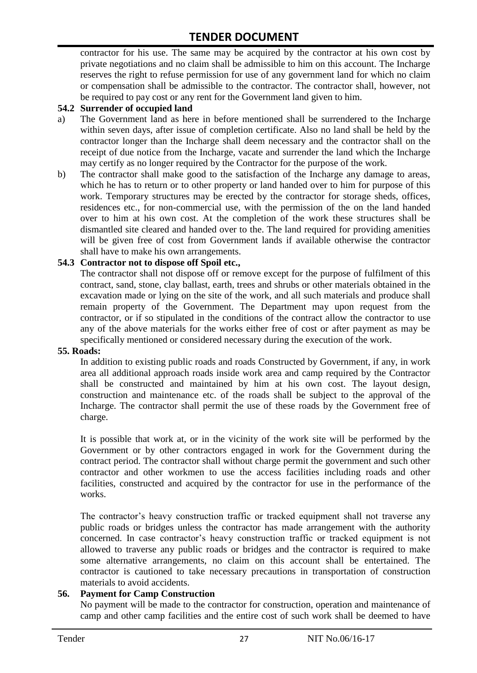contractor for his use. The same may be acquired by the contractor at his own cost by private negotiations and no claim shall be admissible to him on this account. The Incharge reserves the right to refuse permission for use of any government land for which no claim or compensation shall be admissible to the contractor. The contractor shall, however, not be required to pay cost or any rent for the Government land given to him.

#### **54.2 Surrender of occupied land**

- a) The Government land as here in before mentioned shall be surrendered to the Incharge within seven days, after issue of completion certificate. Also no land shall be held by the contractor longer than the Incharge shall deem necessary and the contractor shall on the receipt of due notice from the Incharge, vacate and surrender the land which the Incharge may certify as no longer required by the Contractor for the purpose of the work.
- b) The contractor shall make good to the satisfaction of the Incharge any damage to areas, which he has to return or to other property or land handed over to him for purpose of this work. Temporary structures may be erected by the contractor for storage sheds, offices, residences etc., for non-commercial use, with the permission of the on the land handed over to him at his own cost. At the completion of the work these structures shall be dismantled site cleared and handed over to the. The land required for providing amenities will be given free of cost from Government lands if available otherwise the contractor shall have to make his own arrangements.

#### **54.3 Contractor not to dispose off Spoil etc.,**

The contractor shall not dispose off or remove except for the purpose of fulfilment of this contract, sand, stone, clay ballast, earth, trees and shrubs or other materials obtained in the excavation made or lying on the site of the work, and all such materials and produce shall remain property of the Government. The Department may upon request from the contractor, or if so stipulated in the conditions of the contract allow the contractor to use any of the above materials for the works either free of cost or after payment as may be specifically mentioned or considered necessary during the execution of the work.

#### **55. Roads:**

In addition to existing public roads and roads Constructed by Government, if any, in work area all additional approach roads inside work area and camp required by the Contractor shall be constructed and maintained by him at his own cost. The layout design, construction and maintenance etc. of the roads shall be subject to the approval of the Incharge. The contractor shall permit the use of these roads by the Government free of charge.

It is possible that work at, or in the vicinity of the work site will be performed by the Government or by other contractors engaged in work for the Government during the contract period. The contractor shall without charge permit the government and such other contractor and other workmen to use the access facilities including roads and other facilities, constructed and acquired by the contractor for use in the performance of the works.

The contractor's heavy construction traffic or tracked equipment shall not traverse any public roads or bridges unless the contractor has made arrangement with the authority concerned. In case contractor"s heavy construction traffic or tracked equipment is not allowed to traverse any public roads or bridges and the contractor is required to make some alternative arrangements, no claim on this account shall be entertained. The contractor is cautioned to take necessary precautions in transportation of construction materials to avoid accidents.

#### **56. Payment for Camp Construction**

No payment will be made to the contractor for construction, operation and maintenance of camp and other camp facilities and the entire cost of such work shall be deemed to have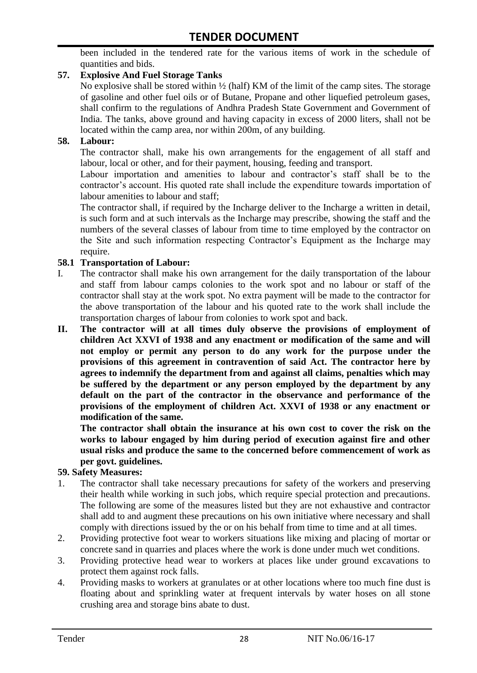been included in the tendered rate for the various items of work in the schedule of quantities and bids.

### **57. Explosive And Fuel Storage Tanks**

No explosive shall be stored within  $\frac{1}{2}$  (half) KM of the limit of the camp sites. The storage of gasoline and other fuel oils or of Butane, Propane and other liquefied petroleum gases, shall confirm to the regulations of Andhra Pradesh State Government and Government of India. The tanks, above ground and having capacity in excess of 2000 liters, shall not be located within the camp area, nor within 200m, of any building.

#### **58. Labour:**

The contractor shall, make his own arrangements for the engagement of all staff and labour, local or other, and for their payment, housing, feeding and transport.

Labour importation and amenities to labour and contractor's staff shall be to the contractor's account. His quoted rate shall include the expenditure towards importation of labour amenities to labour and staff;

The contractor shall, if required by the Incharge deliver to the Incharge a written in detail, is such form and at such intervals as the Incharge may prescribe, showing the staff and the numbers of the several classes of labour from time to time employed by the contractor on the Site and such information respecting Contractor"s Equipment as the Incharge may require.

#### **58.1 Transportation of Labour:**

- I. The contractor shall make his own arrangement for the daily transportation of the labour and staff from labour camps colonies to the work spot and no labour or staff of the contractor shall stay at the work spot. No extra payment will be made to the contractor for the above transportation of the labour and his quoted rate to the work shall include the transportation charges of labour from colonies to work spot and back.
- **II. The contractor will at all times duly observe the provisions of employment of children Act XXVI of 1938 and any enactment or modification of the same and will not employ or permit any person to do any work for the purpose under the provisions of this agreement in contravention of said Act. The contractor here by agrees to indemnify the department from and against all claims, penalties which may be suffered by the department or any person employed by the department by any default on the part of the contractor in the observance and performance of the provisions of the employment of children Act. XXVI of 1938 or any enactment or modification of the same.**

**The contractor shall obtain the insurance at his own cost to cover the risk on the works to labour engaged by him during period of execution against fire and other usual risks and produce the same to the concerned before commencement of work as per govt. guidelines.**

#### **59. Safety Measures:**

- 1. The contractor shall take necessary precautions for safety of the workers and preserving their health while working in such jobs, which require special protection and precautions. The following are some of the measures listed but they are not exhaustive and contractor shall add to and augment these precautions on his own initiative where necessary and shall comply with directions issued by the or on his behalf from time to time and at all times.
- 2. Providing protective foot wear to workers situations like mixing and placing of mortar or concrete sand in quarries and places where the work is done under much wet conditions.
- 3. Providing protective head wear to workers at places like under ground excavations to protect them against rock falls.
- 4. Providing masks to workers at granulates or at other locations where too much fine dust is floating about and sprinkling water at frequent intervals by water hoses on all stone crushing area and storage bins abate to dust.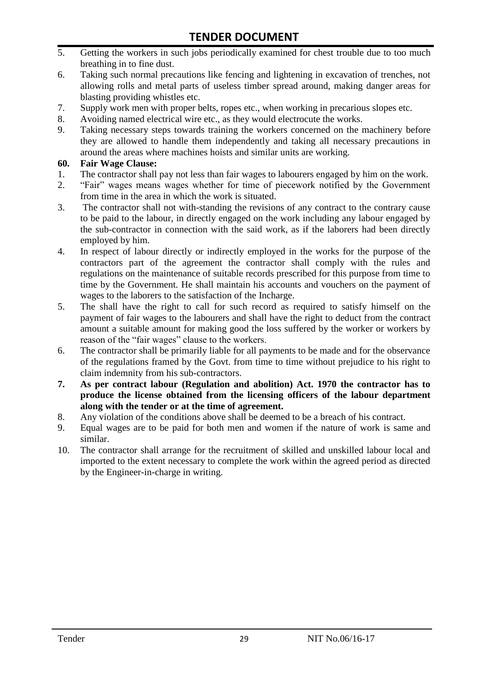- 5. Getting the workers in such jobs periodically examined for chest trouble due to too much breathing in to fine dust.
- 6. Taking such normal precautions like fencing and lightening in excavation of trenches, not allowing rolls and metal parts of useless timber spread around, making danger areas for blasting providing whistles etc.
- 7. Supply work men with proper belts, ropes etc., when working in precarious slopes etc.
- 8. Avoiding named electrical wire etc., as they would electrocute the works.
- 9. Taking necessary steps towards training the workers concerned on the machinery before they are allowed to handle them independently and taking all necessary precautions in around the areas where machines hoists and similar units are working.

#### **60. Fair Wage Clause:**

- 1. The contractor shall pay not less than fair wages to labourers engaged by him on the work.
- 2. "Fair" wages means wages whether for time of piecework notified by the Government from time in the area in which the work is situated.
- 3. The contractor shall not with-standing the revisions of any contract to the contrary cause to be paid to the labour, in directly engaged on the work including any labour engaged by the sub-contractor in connection with the said work, as if the laborers had been directly employed by him.
- 4. In respect of labour directly or indirectly employed in the works for the purpose of the contractors part of the agreement the contractor shall comply with the rules and regulations on the maintenance of suitable records prescribed for this purpose from time to time by the Government. He shall maintain his accounts and vouchers on the payment of wages to the laborers to the satisfaction of the Incharge.
- 5. The shall have the right to call for such record as required to satisfy himself on the payment of fair wages to the labourers and shall have the right to deduct from the contract amount a suitable amount for making good the loss suffered by the worker or workers by reason of the "fair wages" clause to the workers.
- 6. The contractor shall be primarily liable for all payments to be made and for the observance of the regulations framed by the Govt. from time to time without prejudice to his right to claim indemnity from his sub-contractors.
- **7. As per contract labour (Regulation and abolition) Act. 1970 the contractor has to produce the license obtained from the licensing officers of the labour department along with the tender or at the time of agreement.**
- 8. Any violation of the conditions above shall be deemed to be a breach of his contract.
- 9. Equal wages are to be paid for both men and women if the nature of work is same and similar.
- 10. The contractor shall arrange for the recruitment of skilled and unskilled labour local and imported to the extent necessary to complete the work within the agreed period as directed by the Engineer-in-charge in writing.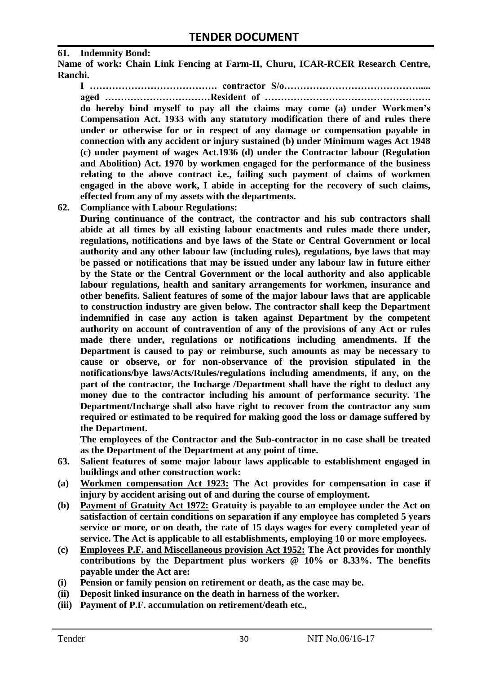#### **61. Indemnity Bond:**

**Name of work: Chain Link Fencing at Farm-II, Churu, ICAR-RCER Research Centre, Ranchi.**

**I …………………………………. contractor S/o……………………………………..... aged ……………………………Resident of ……………………………………………. do hereby bind myself to pay all the claims may come (a) under Workmen's Compensation Act. 1933 with any statutory modification there of and rules there under or otherwise for or in respect of any damage or compensation payable in connection with any accident or injury sustained (b) under Minimum wages Act 1948 (c) under payment of wages Act.1936 (d) under the Contractor labour (Regulation and Abolition) Act. 1970 by workmen engaged for the performance of the business relating to the above contract i.e., failing such payment of claims of workmen engaged in the above work, I abide in accepting for the recovery of such claims, effected from any of my assets with the departments.**

**62. Compliance with Labour Regulations:**

**During continuance of the contract, the contractor and his sub contractors shall abide at all times by all existing labour enactments and rules made there under, regulations, notifications and bye laws of the State or Central Government or local authority and any other labour law (including rules), regulations, bye laws that may be passed or notifications that may be issued under any labour law in future either by the State or the Central Government or the local authority and also applicable labour regulations, health and sanitary arrangements for workmen, insurance and other benefits. Salient features of some of the major labour laws that are applicable to construction industry are given below. The contractor shall keep the Department indemnified in case any action is taken against Department by the competent authority on account of contravention of any of the provisions of any Act or rules made there under, regulations or notifications including amendments. If the Department is caused to pay or reimburse, such amounts as may be necessary to cause or observe, or for non-observance of the provision stipulated in the notifications/bye laws/Acts/Rules/regulations including amendments, if any, on the part of the contractor, the Incharge /Department shall have the right to deduct any money due to the contractor including his amount of performance security. The Department/Incharge shall also have right to recover from the contractor any sum required or estimated to be required for making good the loss or damage suffered by the Department.**

**The employees of the Contractor and the Sub-contractor in no case shall be treated as the Department of the Department at any point of time.**

- **63. Salient features of some major labour laws applicable to establishment engaged in buildings and other construction work:**
- **(a) Workmen compensation Act 1923: The Act provides for compensation in case if injury by accident arising out of and during the course of employment.**
- **(b) Payment of Gratuity Act 1972: Gratuity is payable to an employee under the Act on satisfaction of certain conditions on separation if any employee has completed 5 years service or more, or on death, the rate of 15 days wages for every completed year of service. The Act is applicable to all establishments, employing 10 or more employees.**
- **(c) Employees P.F. and Miscellaneous provision Act 1952: The Act provides for monthly contributions by the Department plus workers @ 10% or 8.33%. The benefits payable under the Act are:**
- **(i) Pension or family pension on retirement or death, as the case may be.**
- **(ii) Deposit linked insurance on the death in harness of the worker.**
- **(iii) Payment of P.F. accumulation on retirement/death etc.,**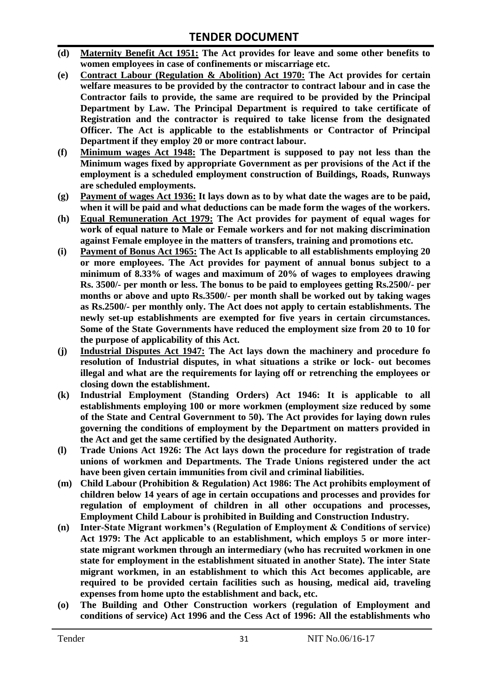- **(d) Maternity Benefit Act 1951: The Act provides for leave and some other benefits to women employees in case of confinements or miscarriage etc.**
- **(e) Contract Labour (Regulation & Abolition) Act 1970: The Act provides for certain welfare measures to be provided by the contractor to contract labour and in case the Contractor fails to provide, the same are required to be provided by the Principal Department by Law. The Principal Department is required to take certificate of Registration and the contractor is required to take license from the designated Officer. The Act is applicable to the establishments or Contractor of Principal Department if they employ 20 or more contract labour.**
- **(f) Minimum wages Act 1948: The Department is supposed to pay not less than the Minimum wages fixed by appropriate Government as per provisions of the Act if the employment is a scheduled employment construction of Buildings, Roads, Runways are scheduled employments.**
- **(g) Payment of wages Act 1936: It lays down as to by what date the wages are to be paid, when it will be paid and what deductions can be made form the wages of the workers.**
- **(h) Equal Remuneration Act 1979: The Act provides for payment of equal wages for work of equal nature to Male or Female workers and for not making discrimination against Female employee in the matters of transfers, training and promotions etc.**
- **(i) Payment of Bonus Act 1965: The Act Is applicable to all establishments employing 20 or more employees. The Act provides for payment of annual bonus subject to a minimum of 8.33% of wages and maximum of 20% of wages to employees drawing Rs. 3500/- per month or less. The bonus to be paid to employees getting Rs.2500/- per months or above and upto Rs.3500/- per month shall be worked out by taking wages as Rs.2500/- per monthly only. The Act does not apply to certain establishments. The newly set-up establishments are exempted for five years in certain circumstances. Some of the State Governments have reduced the employment size from 20 to 10 for the purpose of applicability of this Act.**
- **(j) Industrial Disputes Act 1947: The Act lays down the machinery and procedure fo resolution of Industrial disputes, in what situations a strike or lock- out becomes illegal and what are the requirements for laying off or retrenching the employees or closing down the establishment.**
- **(k) Industrial Employment (Standing Orders) Act 1946: It is applicable to all establishments employing 100 or more workmen (employment size reduced by some of the State and Central Government to 50). The Act provides for laying down rules governing the conditions of employment by the Department on matters provided in the Act and get the same certified by the designated Authority.**
- **(l) Trade Unions Act 1926: The Act lays down the procedure for registration of trade unions of workmen and Departments. The Trade Unions registered under the act have been given certain immunities from civil and criminal liabilities.**
- **(m) Child Labour (Prohibition & Regulation) Act 1986: The Act prohibits employment of children below 14 years of age in certain occupations and processes and provides for regulation of employment of children in all other occupations and processes, Employment Child Labour is prohibited in Building and Construction Industry.**
- **(n) Inter-State Migrant workmen's (Regulation of Employment & Conditions of service) Act 1979: The Act applicable to an establishment, which employs 5 or more interstate migrant workmen through an intermediary (who has recruited workmen in one state for employment in the establishment situated in another State). The inter State migrant workmen, in an establishment to which this Act becomes applicable, are required to be provided certain facilities such as housing, medical aid, traveling expenses from home upto the establishment and back, etc.**
- **(o) The Building and Other Construction workers (regulation of Employment and conditions of service) Act 1996 and the Cess Act of 1996: All the establishments who**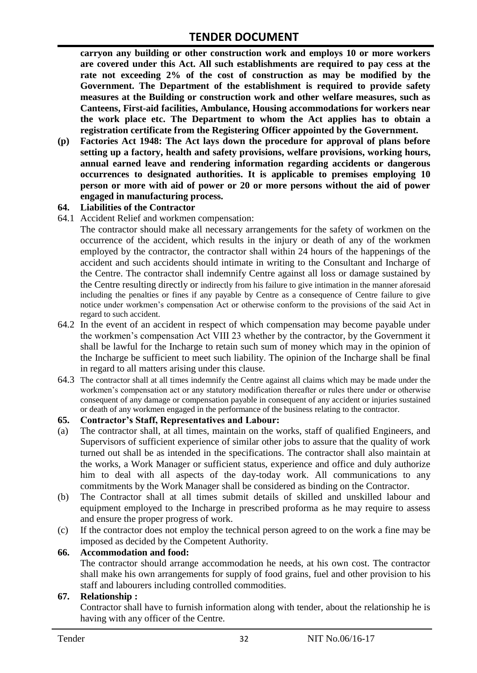**carryon any building or other construction work and employs 10 or more workers are covered under this Act. All such establishments are required to pay cess at the rate not exceeding 2% of the cost of construction as may be modified by the Government. The Department of the establishment is required to provide safety measures at the Building or construction work and other welfare measures, such as Canteens, First-aid facilities, Ambulance, Housing accommodations for workers near the work place etc. The Department to whom the Act applies has to obtain a registration certificate from the Registering Officer appointed by the Government.**

**(p) Factories Act 1948: The Act lays down the procedure for approval of plans before setting up a factory, health and safety provisions, welfare provisions, working hours, annual earned leave and rendering information regarding accidents or dangerous occurrences to designated authorities. It is applicable to premises employing 10 person or more with aid of power or 20 or more persons without the aid of power engaged in manufacturing process.**

#### **64. Liabilities of the Contractor**

64.1 Accident Relief and workmen compensation:

The contractor should make all necessary arrangements for the safety of workmen on the occurrence of the accident, which results in the injury or death of any of the workmen employed by the contractor, the contractor shall within 24 hours of the happenings of the accident and such accidents should intimate in writing to the Consultant and Incharge of the Centre. The contractor shall indemnify Centre against all loss or damage sustained by the Centre resulting directly or indirectly from his failure to give intimation in the manner aforesaid including the penalties or fines if any payable by Centre as a consequence of Centre failure to give notice under workmen"s compensation Act or otherwise conform to the provisions of the said Act in regard to such accident.

- 64.2 In the event of an accident in respect of which compensation may become payable under the workmen"s compensation Act VIII 23 whether by the contractor, by the Government it shall be lawful for the Incharge to retain such sum of money which may in the opinion of the Incharge be sufficient to meet such liability. The opinion of the Incharge shall be final in regard to all matters arising under this clause.
- 64.3 The contractor shall at all times indemnify the Centre against all claims which may be made under the workmen"s compensation act or any statutory modification thereafter or rules there under or otherwise consequent of any damage or compensation payable in consequent of any accident or injuries sustained or death of any workmen engaged in the performance of the business relating to the contractor.

#### **65. Contractor's Staff, Representatives and Labour:**

- (a) The contractor shall, at all times, maintain on the works, staff of qualified Engineers, and Supervisors of sufficient experience of similar other jobs to assure that the quality of work turned out shall be as intended in the specifications. The contractor shall also maintain at the works, a Work Manager or sufficient status, experience and office and duly authorize him to deal with all aspects of the day-today work. All communications to any commitments by the Work Manager shall be considered as binding on the Contractor.
- (b) The Contractor shall at all times submit details of skilled and unskilled labour and equipment employed to the Incharge in prescribed proforma as he may require to assess and ensure the proper progress of work.
- (c) If the contractor does not employ the technical person agreed to on the work a fine may be imposed as decided by the Competent Authority.

#### **66. Accommodation and food:**

The contractor should arrange accommodation he needs, at his own cost. The contractor shall make his own arrangements for supply of food grains, fuel and other provision to his staff and labourers including controlled commodities.

#### **67. Relationship :**

Contractor shall have to furnish information along with tender, about the relationship he is having with any officer of the Centre.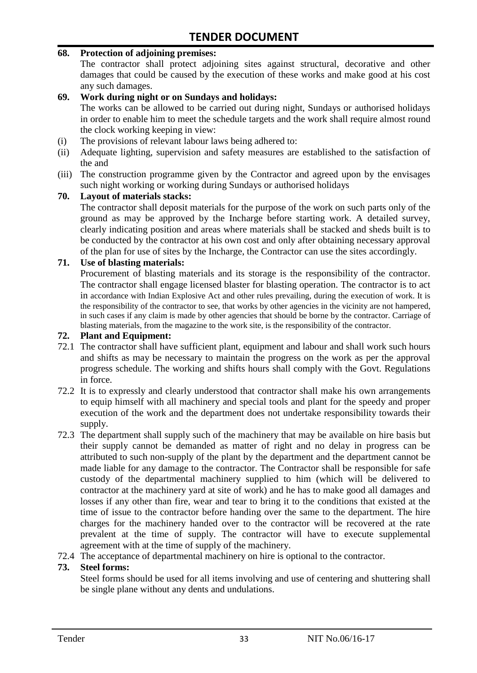#### **68. Protection of adjoining premises:**

The contractor shall protect adjoining sites against structural, decorative and other damages that could be caused by the execution of these works and make good at his cost any such damages.

#### **69. Work during night or on Sundays and holidays:**

The works can be allowed to be carried out during night, Sundays or authorised holidays in order to enable him to meet the schedule targets and the work shall require almost round the clock working keeping in view:

- (i) The provisions of relevant labour laws being adhered to:
- (ii) Adequate lighting, supervision and safety measures are established to the satisfaction of the and
- (iii) The construction programme given by the Contractor and agreed upon by the envisages such night working or working during Sundays or authorised holidays

#### **70. Layout of materials stacks:**

The contractor shall deposit materials for the purpose of the work on such parts only of the ground as may be approved by the Incharge before starting work. A detailed survey, clearly indicating position and areas where materials shall be stacked and sheds built is to be conducted by the contractor at his own cost and only after obtaining necessary approval of the plan for use of sites by the Incharge, the Contractor can use the sites accordingly.

#### **71. Use of blasting materials:**

Procurement of blasting materials and its storage is the responsibility of the contractor. The contractor shall engage licensed blaster for blasting operation. The contractor is to act in accordance with Indian Explosive Act and other rules prevailing, during the execution of work. It is the responsibility of the contractor to see, that works by other agencies in the vicinity are not hampered, in such cases if any claim is made by other agencies that should be borne by the contractor. Carriage of blasting materials, from the magazine to the work site, is the responsibility of the contractor.

#### **72. Plant and Equipment:**

- 72.1 The contractor shall have sufficient plant, equipment and labour and shall work such hours and shifts as may be necessary to maintain the progress on the work as per the approval progress schedule. The working and shifts hours shall comply with the Govt. Regulations in force.
- 72.2 It is to expressly and clearly understood that contractor shall make his own arrangements to equip himself with all machinery and special tools and plant for the speedy and proper execution of the work and the department does not undertake responsibility towards their supply.
- 72.3 The department shall supply such of the machinery that may be available on hire basis but their supply cannot be demanded as matter of right and no delay in progress can be attributed to such non-supply of the plant by the department and the department cannot be made liable for any damage to the contractor. The Contractor shall be responsible for safe custody of the departmental machinery supplied to him (which will be delivered to contractor at the machinery yard at site of work) and he has to make good all damages and losses if any other than fire, wear and tear to bring it to the conditions that existed at the time of issue to the contractor before handing over the same to the department. The hire charges for the machinery handed over to the contractor will be recovered at the rate prevalent at the time of supply. The contractor will have to execute supplemental agreement with at the time of supply of the machinery.
- 72.4 The acceptance of departmental machinery on hire is optional to the contractor.

#### **73. Steel forms:**

Steel forms should be used for all items involving and use of centering and shuttering shall be single plane without any dents and undulations.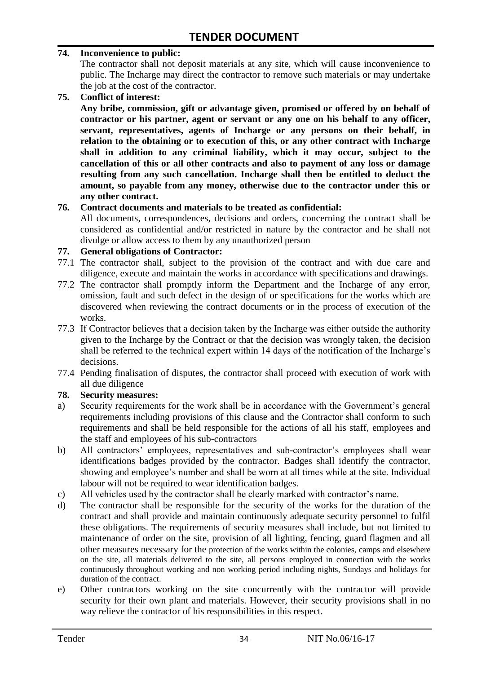#### **74. Inconvenience to public:**

The contractor shall not deposit materials at any site, which will cause inconvenience to public. The Incharge may direct the contractor to remove such materials or may undertake the job at the cost of the contractor.

**75. Conflict of interest:**

**Any bribe, commission, gift or advantage given, promised or offered by on behalf of contractor or his partner, agent or servant or any one on his behalf to any officer, servant, representatives, agents of Incharge or any persons on their behalf, in relation to the obtaining or to execution of this, or any other contract with Incharge shall in addition to any criminal liability, which it may occur, subject to the cancellation of this or all other contracts and also to payment of any loss or damage resulting from any such cancellation. Incharge shall then be entitled to deduct the amount, so payable from any money, otherwise due to the contractor under this or any other contract.**

#### **76. Contract documents and materials to be treated as confidential:**

All documents, correspondences, decisions and orders, concerning the contract shall be considered as confidential and/or restricted in nature by the contractor and he shall not divulge or allow access to them by any unauthorized person

#### **77. General obligations of Contractor:**

- 77.1 The contractor shall, subject to the provision of the contract and with due care and diligence, execute and maintain the works in accordance with specifications and drawings.
- 77.2 The contractor shall promptly inform the Department and the Incharge of any error, omission, fault and such defect in the design of or specifications for the works which are discovered when reviewing the contract documents or in the process of execution of the works.
- 77.3 If Contractor believes that a decision taken by the Incharge was either outside the authority given to the Incharge by the Contract or that the decision was wrongly taken, the decision shall be referred to the technical expert within 14 days of the notification of the Incharge's decisions.
- 77.4 Pending finalisation of disputes, the contractor shall proceed with execution of work with all due diligence

#### **78. Security measures:**

- a) Security requirements for the work shall be in accordance with the Government's general requirements including provisions of this clause and the Contractor shall conform to such requirements and shall be held responsible for the actions of all his staff, employees and the staff and employees of his sub-contractors
- b) All contractors' employees, representatives and sub-contractor's employees shall wear identifications badges provided by the contractor. Badges shall identify the contractor, showing and employee"s number and shall be worn at all times while at the site. Individual labour will not be required to wear identification badges.
- c) All vehicles used by the contractor shall be clearly marked with contractor"s name.
- d) The contractor shall be responsible for the security of the works for the duration of the contract and shall provide and maintain continuously adequate security personnel to fulfil these obligations. The requirements of security measures shall include, but not limited to maintenance of order on the site, provision of all lighting, fencing, guard flagmen and all other measures necessary for the protection of the works within the colonies, camps and elsewhere on the site, all materials delivered to the site, all persons employed in connection with the works continuously throughout working and non working period including nights, Sundays and holidays for duration of the contract.
- e) Other contractors working on the site concurrently with the contractor will provide security for their own plant and materials. However, their security provisions shall in no way relieve the contractor of his responsibilities in this respect.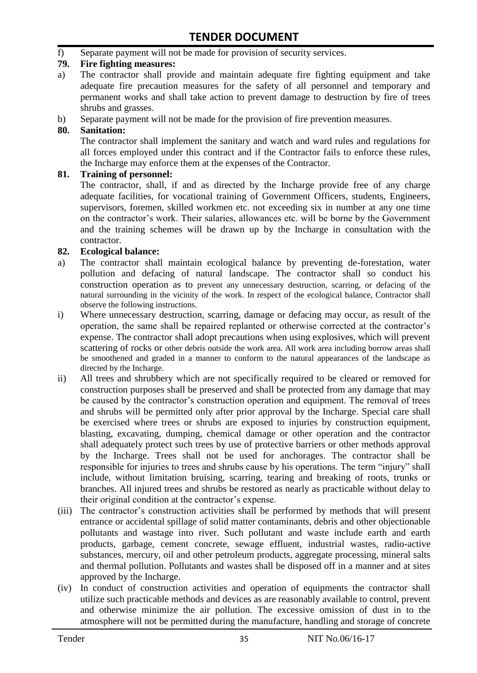f) Separate payment will not be made for provision of security services.

#### **79. Fire fighting measures:**

- a) The contractor shall provide and maintain adequate fire fighting equipment and take adequate fire precaution measures for the safety of all personnel and temporary and permanent works and shall take action to prevent damage to destruction by fire of trees shrubs and grasses.
- b) Separate payment will not be made for the provision of fire prevention measures.

#### **80. Sanitation:**

The contractor shall implement the sanitary and watch and ward rules and regulations for all forces employed under this contract and if the Contractor fails to enforce these rules, the Incharge may enforce them at the expenses of the Contractor.

#### **81. Training of personnel:**

The contractor, shall, if and as directed by the Incharge provide free of any charge adequate facilities, for vocational training of Government Officers, students, Engineers, supervisors, foremen, skilled workmen etc. not exceeding six in number at any one time on the contractor"s work. Their salaries, allowances etc. will be borne by the Government and the training schemes will be drawn up by the Incharge in consultation with the contractor.

#### **82. Ecological balance:**

- a) The contractor shall maintain ecological balance by preventing de-forestation, water pollution and defacing of natural landscape. The contractor shall so conduct his construction operation as to prevent any unnecessary destruction, scarring, or defacing of the natural surrounding in the vicinity of the work. In respect of the ecological balance, Contractor shall observe the following instructions.
- i) Where unnecessary destruction, scarring, damage or defacing may occur, as result of the operation, the same shall be repaired replanted or otherwise corrected at the contractor"s expense. The contractor shall adopt precautions when using explosives, which will prevent scattering of rocks or other debris outside the work area. All work area including borrow areas shall be smoothened and graded in a manner to conform to the natural appearances of the landscape as directed by the Incharge.
- ii) All trees and shrubbery which are not specifically required to be cleared or removed for construction purposes shall be preserved and shall be protected from any damage that may be caused by the contractor's construction operation and equipment. The removal of trees and shrubs will be permitted only after prior approval by the Incharge. Special care shall be exercised where trees or shrubs are exposed to injuries by construction equipment, blasting, excavating, dumping, chemical damage or other operation and the contractor shall adequately protect such trees by use of protective barriers or other methods approval by the Incharge. Trees shall not be used for anchorages. The contractor shall be responsible for injuries to trees and shrubs cause by his operations. The term "injury" shall include, without limitation bruising, scarring, tearing and breaking of roots, trunks or branches. All injured trees and shrubs be restored as nearly as practicable without delay to their original condition at the contractor"s expense.
- (iii) The contractor's construction activities shall be performed by methods that will present entrance or accidental spillage of solid matter contaminants, debris and other objectionable pollutants and wastage into river. Such pollutant and waste include earth and earth products, garbage, cement concrete, sewage effluent, industrial wastes, radio-active substances, mercury, oil and other petroleum products, aggregate processing, mineral salts and thermal pollution. Pollutants and wastes shall be disposed off in a manner and at sites approved by the Incharge.
- (iv) In conduct of construction activities and operation of equipments the contractor shall utilize such practicable methods and devices as are reasonably available to control, prevent and otherwise minimize the air pollution. The excessive omission of dust in to the atmosphere will not be permitted during the manufacture, handling and storage of concrete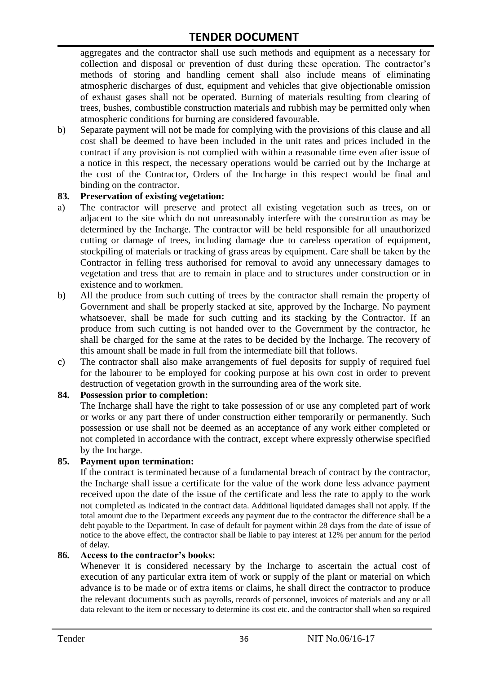aggregates and the contractor shall use such methods and equipment as a necessary for collection and disposal or prevention of dust during these operation. The contractor's methods of storing and handling cement shall also include means of eliminating atmospheric discharges of dust, equipment and vehicles that give objectionable omission of exhaust gases shall not be operated. Burning of materials resulting from clearing of trees, bushes, combustible construction materials and rubbish may be permitted only when atmospheric conditions for burning are considered favourable.

b) Separate payment will not be made for complying with the provisions of this clause and all cost shall be deemed to have been included in the unit rates and prices included in the contract if any provision is not complied with within a reasonable time even after issue of a notice in this respect, the necessary operations would be carried out by the Incharge at the cost of the Contractor, Orders of the Incharge in this respect would be final and binding on the contractor.

#### **83. Preservation of existing vegetation:**

- a) The contractor will preserve and protect all existing vegetation such as trees, on or adjacent to the site which do not unreasonably interfere with the construction as may be determined by the Incharge. The contractor will be held responsible for all unauthorized cutting or damage of trees, including damage due to careless operation of equipment, stockpiling of materials or tracking of grass areas by equipment. Care shall be taken by the Contractor in felling tress authorised for removal to avoid any unnecessary damages to vegetation and tress that are to remain in place and to structures under construction or in existence and to workmen.
- b) All the produce from such cutting of trees by the contractor shall remain the property of Government and shall be properly stacked at site, approved by the Incharge. No payment whatsoever, shall be made for such cutting and its stacking by the Contractor. If an produce from such cutting is not handed over to the Government by the contractor, he shall be charged for the same at the rates to be decided by the Incharge. The recovery of this amount shall be made in full from the intermediate bill that follows.
- c) The contractor shall also make arrangements of fuel deposits for supply of required fuel for the labourer to be employed for cooking purpose at his own cost in order to prevent destruction of vegetation growth in the surrounding area of the work site.

#### **84. Possession prior to completion:**

The Incharge shall have the right to take possession of or use any completed part of work or works or any part there of under construction either temporarily or permanently. Such possession or use shall not be deemed as an acceptance of any work either completed or not completed in accordance with the contract, except where expressly otherwise specified by the Incharge.

#### **85. Payment upon termination:**

If the contract is terminated because of a fundamental breach of contract by the contractor, the Incharge shall issue a certificate for the value of the work done less advance payment received upon the date of the issue of the certificate and less the rate to apply to the work not completed as indicated in the contract data. Additional liquidated damages shall not apply. If the total amount due to the Department exceeds any payment due to the contractor the difference shall be a debt payable to the Department. In case of default for payment within 28 days from the date of issue of notice to the above effect, the contractor shall be liable to pay interest at 12% per annum for the period of delay.

#### **86. Access to the contractor's books:**

Whenever it is considered necessary by the Incharge to ascertain the actual cost of execution of any particular extra item of work or supply of the plant or material on which advance is to be made or of extra items or claims, he shall direct the contractor to produce the relevant documents such as payrolls, records of personnel, invoices of materials and any or all data relevant to the item or necessary to determine its cost etc. and the contractor shall when so required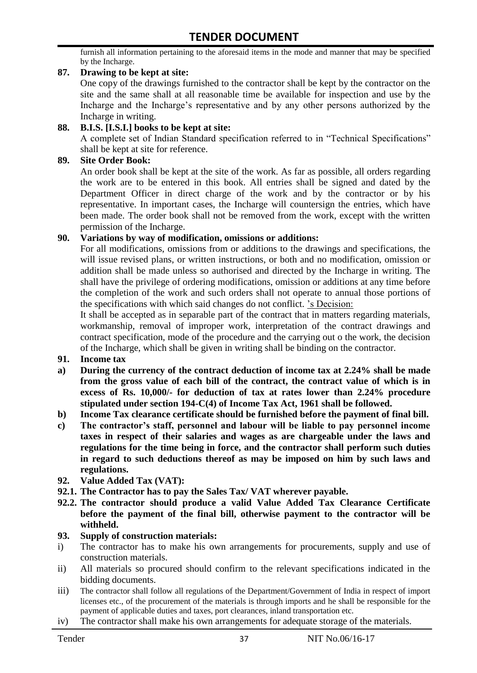furnish all information pertaining to the aforesaid items in the mode and manner that may be specified by the Incharge.

#### **87. Drawing to be kept at site:**

One copy of the drawings furnished to the contractor shall be kept by the contractor on the site and the same shall at all reasonable time be available for inspection and use by the Incharge and the Incharge"s representative and by any other persons authorized by the Incharge in writing.

#### **88. B.I.S. [I.S.I.] books to be kept at site:**

A complete set of Indian Standard specification referred to in "Technical Specifications" shall be kept at site for reference.

#### **89. Site Order Book:**

An order book shall be kept at the site of the work. As far as possible, all orders regarding the work are to be entered in this book. All entries shall be signed and dated by the Department Officer in direct charge of the work and by the contractor or by his representative. In important cases, the Incharge will countersign the entries, which have been made. The order book shall not be removed from the work, except with the written permission of the Incharge.

#### **90. Variations by way of modification, omissions or additions:**

For all modifications, omissions from or additions to the drawings and specifications, the will issue revised plans, or written instructions, or both and no modification, omission or addition shall be made unless so authorised and directed by the Incharge in writing. The shall have the privilege of ordering modifications, omission or additions at any time before the completion of the work and such orders shall not operate to annual those portions of the specifications with which said changes do not conflict. "s Decision:

It shall be accepted as in separable part of the contract that in matters regarding materials, workmanship, removal of improper work, interpretation of the contract drawings and contract specification, mode of the procedure and the carrying out o the work, the decision of the Incharge, which shall be given in writing shall be binding on the contractor.

- **91. Income tax**
- **a) During the currency of the contract deduction of income tax at 2.24% shall be made from the gross value of each bill of the contract, the contract value of which is in excess of Rs. 10,000/- for deduction of tax at rates lower than 2.24% procedure stipulated under section 194-C(4) of Income Tax Act, 1961 shall be followed.**
- **b) Income Tax clearance certificate should be furnished before the payment of final bill.**
- **c) The contractor's staff, personnel and labour will be liable to pay personnel income taxes in respect of their salaries and wages as are chargeable under the laws and regulations for the time being in force, and the contractor shall perform such duties in regard to such deductions thereof as may be imposed on him by such laws and regulations.**
- **92. Value Added Tax (VAT):**
- **92.1. The Contractor has to pay the Sales Tax/ VAT wherever payable.**
- **92.2. The contractor should produce a valid Value Added Tax Clearance Certificate before the payment of the final bill, otherwise payment to the contractor will be withheld.**

#### **93. Supply of construction materials:**

- i) The contractor has to make his own arrangements for procurements, supply and use of construction materials.
- ii) All materials so procured should confirm to the relevant specifications indicated in the bidding documents.
- iii) The contractor shall follow all regulations of the Department/Government of India in respect of import licenses etc., of the procurement of the materials is through imports and he shall be responsible for the payment of applicable duties and taxes, port clearances, inland transportation etc.
- iv) The contractor shall make his own arrangements for adequate storage of the materials.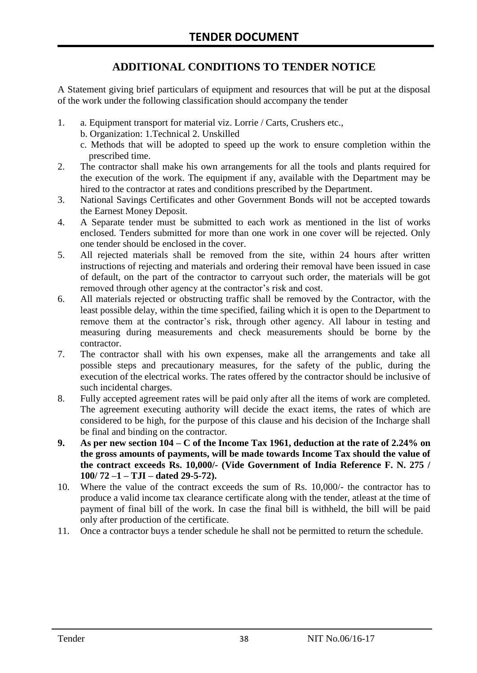# **ADDITIONAL CONDITIONS TO TENDER NOTICE**

A Statement giving brief particulars of equipment and resources that will be put at the disposal of the work under the following classification should accompany the tender

- 1. a. Equipment transport for material viz. Lorrie / Carts, Crushers etc.,
	- b. Organization: 1.Technical 2. Unskilled
	- c. Methods that will be adopted to speed up the work to ensure completion within the prescribed time.
- 2. The contractor shall make his own arrangements for all the tools and plants required for the execution of the work. The equipment if any, available with the Department may be hired to the contractor at rates and conditions prescribed by the Department.
- 3. National Savings Certificates and other Government Bonds will not be accepted towards the Earnest Money Deposit.
- 4. A Separate tender must be submitted to each work as mentioned in the list of works enclosed. Tenders submitted for more than one work in one cover will be rejected. Only one tender should be enclosed in the cover.
- 5. All rejected materials shall be removed from the site, within 24 hours after written instructions of rejecting and materials and ordering their removal have been issued in case of default, on the part of the contractor to carryout such order, the materials will be got removed through other agency at the contractor's risk and cost.
- 6. All materials rejected or obstructing traffic shall be removed by the Contractor, with the least possible delay, within the time specified, failing which it is open to the Department to remove them at the contractor's risk, through other agency. All labour in testing and measuring during measurements and check measurements should be borne by the contractor.
- 7. The contractor shall with his own expenses, make all the arrangements and take all possible steps and precautionary measures, for the safety of the public, during the execution of the electrical works. The rates offered by the contractor should be inclusive of such incidental charges.
- 8. Fully accepted agreement rates will be paid only after all the items of work are completed. The agreement executing authority will decide the exact items, the rates of which are considered to be high, for the purpose of this clause and his decision of the Incharge shall be final and binding on the contractor.
- **9. As per new section 104 – C of the Income Tax 1961, deduction at the rate of 2.24% on the gross amounts of payments, will be made towards Income Tax should the value of the contract exceeds Rs. 10,000/- (Vide Government of India Reference F. N. 275 / 100/ 72 –1 – TJI – dated 29-5-72).**
- 10. Where the value of the contract exceeds the sum of Rs. 10,000/- the contractor has to produce a valid income tax clearance certificate along with the tender, atleast at the time of payment of final bill of the work. In case the final bill is withheld, the bill will be paid only after production of the certificate.
- 11. Once a contractor buys a tender schedule he shall not be permitted to return the schedule.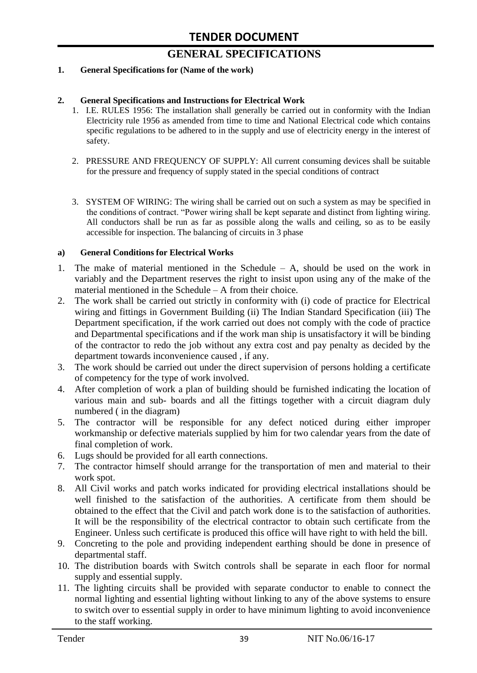# **GENERAL SPECIFICATIONS**

#### **1. General Specifications for (Name of the work)**

#### **2. General Specifications and Instructions for Electrical Work**

- 1. I.E. RULES 1956: The installation shall generally be carried out in conformity with the Indian Electricity rule 1956 as amended from time to time and National Electrical code which contains specific regulations to be adhered to in the supply and use of electricity energy in the interest of safety.
- 2. PRESSURE AND FREQUENCY OF SUPPLY: All current consuming devices shall be suitable for the pressure and frequency of supply stated in the special conditions of contract
- 3. SYSTEM OF WIRING: The wiring shall be carried out on such a system as may be specified in the conditions of contract. "Power wiring shall be kept separate and distinct from lighting wiring. All conductors shall be run as far as possible along the walls and ceiling, so as to be easily accessible for inspection. The balancing of circuits in 3 phase

#### **a) General Conditions for Electrical Works**

- 1. The make of material mentioned in the Schedule A, should be used on the work in variably and the Department reserves the right to insist upon using any of the make of the material mentioned in the Schedule – A from their choice.
- 2. The work shall be carried out strictly in conformity with (i) code of practice for Electrical wiring and fittings in Government Building (ii) The Indian Standard Specification (iii) The Department specification, if the work carried out does not comply with the code of practice and Departmental specifications and if the work man ship is unsatisfactory it will be binding of the contractor to redo the job without any extra cost and pay penalty as decided by the department towards inconvenience caused , if any.
- 3. The work should be carried out under the direct supervision of persons holding a certificate of competency for the type of work involved.
- 4. After completion of work a plan of building should be furnished indicating the location of various main and sub- boards and all the fittings together with a circuit diagram duly numbered ( in the diagram)
- 5. The contractor will be responsible for any defect noticed during either improper workmanship or defective materials supplied by him for two calendar years from the date of final completion of work.
- 6. Lugs should be provided for all earth connections.
- 7. The contractor himself should arrange for the transportation of men and material to their work spot.
- 8. All Civil works and patch works indicated for providing electrical installations should be well finished to the satisfaction of the authorities. A certificate from them should be obtained to the effect that the Civil and patch work done is to the satisfaction of authorities. It will be the responsibility of the electrical contractor to obtain such certificate from the Engineer. Unless such certificate is produced this office will have right to with held the bill.
- 9. Concreting to the pole and providing independent earthing should be done in presence of departmental staff.
- 10. The distribution boards with Switch controls shall be separate in each floor for normal supply and essential supply.
- 11. The lighting circuits shall be provided with separate conductor to enable to connect the normal lighting and essential lighting without linking to any of the above systems to ensure to switch over to essential supply in order to have minimum lighting to avoid inconvenience to the staff working.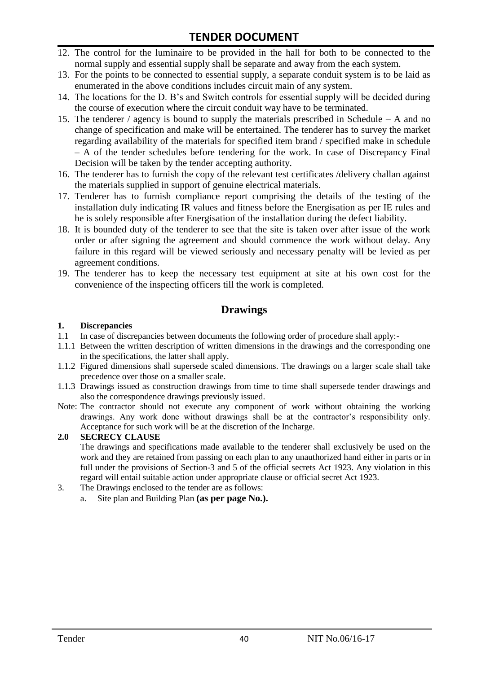# **TENDER DOCUMENT**

- 12. The control for the luminaire to be provided in the hall for both to be connected to the normal supply and essential supply shall be separate and away from the each system.
- 13. For the points to be connected to essential supply, a separate conduit system is to be laid as enumerated in the above conditions includes circuit main of any system.
- 14. The locations for the D. B"s and Switch controls for essential supply will be decided during the course of execution where the circuit conduit way have to be terminated.
- 15. The tenderer / agency is bound to supply the materials prescribed in Schedule A and no change of specification and make will be entertained. The tenderer has to survey the market regarding availability of the materials for specified item brand / specified make in schedule – A of the tender schedules before tendering for the work. In case of Discrepancy Final Decision will be taken by the tender accepting authority.
- 16. The tenderer has to furnish the copy of the relevant test certificates /delivery challan against the materials supplied in support of genuine electrical materials.
- 17. Tenderer has to furnish compliance report comprising the details of the testing of the installation duly indicating IR values and fitness before the Energisation as per IE rules and he is solely responsible after Energisation of the installation during the defect liability.
- 18. It is bounded duty of the tenderer to see that the site is taken over after issue of the work order or after signing the agreement and should commence the work without delay. Any failure in this regard will be viewed seriously and necessary penalty will be levied as per agreement conditions.
- 19. The tenderer has to keep the necessary test equipment at site at his own cost for the convenience of the inspecting officers till the work is completed.

# **Drawings**

#### **1. Discrepancies**

- 1.1 In case of discrepancies between documents the following order of procedure shall apply:-
- 1.1.1 Between the written description of written dimensions in the drawings and the corresponding one in the specifications, the latter shall apply.
- 1.1.2 Figured dimensions shall supersede scaled dimensions. The drawings on a larger scale shall take precedence over those on a smaller scale.
- 1.1.3 Drawings issued as construction drawings from time to time shall supersede tender drawings and also the correspondence drawings previously issued.
- Note: The contractor should not execute any component of work without obtaining the working drawings. Any work done without drawings shall be at the contractor"s responsibility only. Acceptance for such work will be at the discretion of the Incharge.

#### **2.0 SECRECY CLAUSE**

The drawings and specifications made available to the tenderer shall exclusively be used on the work and they are retained from passing on each plan to any unauthorized hand either in parts or in full under the provisions of Section-3 and 5 of the official secrets Act 1923. Any violation in this regard will entail suitable action under appropriate clause or official secret Act 1923.

- 3. The Drawings enclosed to the tender are as follows:
	- a. Site plan and Building Plan **(as per page No.).**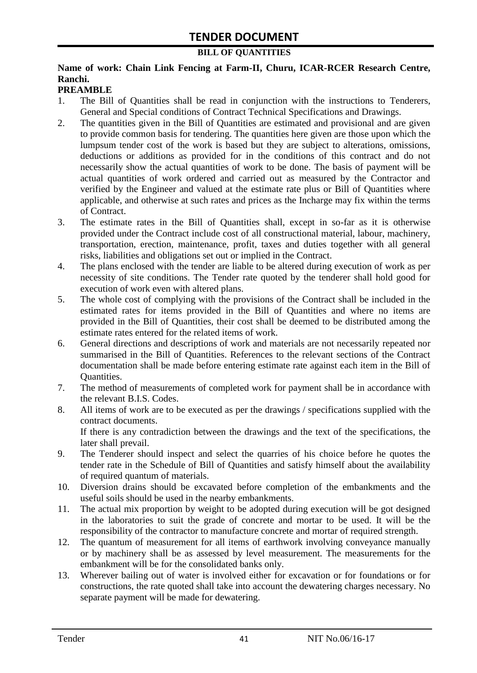#### **BILL OF QUANTITIES**

#### **Name of work: Chain Link Fencing at Farm-II, Churu, ICAR-RCER Research Centre, Ranchi.**

### **PREAMBLE**

- 1. The Bill of Quantities shall be read in conjunction with the instructions to Tenderers, General and Special conditions of Contract Technical Specifications and Drawings.
- 2. The quantities given in the Bill of Quantities are estimated and provisional and are given to provide common basis for tendering. The quantities here given are those upon which the lumpsum tender cost of the work is based but they are subject to alterations, omissions, deductions or additions as provided for in the conditions of this contract and do not necessarily show the actual quantities of work to be done. The basis of payment will be actual quantities of work ordered and carried out as measured by the Contractor and verified by the Engineer and valued at the estimate rate plus or Bill of Quantities where applicable, and otherwise at such rates and prices as the Incharge may fix within the terms of Contract.
- 3. The estimate rates in the Bill of Quantities shall, except in so-far as it is otherwise provided under the Contract include cost of all constructional material, labour, machinery, transportation, erection, maintenance, profit, taxes and duties together with all general risks, liabilities and obligations set out or implied in the Contract.
- 4. The plans enclosed with the tender are liable to be altered during execution of work as per necessity of site conditions. The Tender rate quoted by the tenderer shall hold good for execution of work even with altered plans.
- 5. The whole cost of complying with the provisions of the Contract shall be included in the estimated rates for items provided in the Bill of Quantities and where no items are provided in the Bill of Quantities, their cost shall be deemed to be distributed among the estimate rates entered for the related items of work.
- 6. General directions and descriptions of work and materials are not necessarily repeated nor summarised in the Bill of Quantities. References to the relevant sections of the Contract documentation shall be made before entering estimate rate against each item in the Bill of Quantities.
- 7. The method of measurements of completed work for payment shall be in accordance with the relevant B.I.S. Codes.
- 8. All items of work are to be executed as per the drawings / specifications supplied with the contract documents. If there is any contradiction between the drawings and the text of the specifications, the

later shall prevail.

- 9. The Tenderer should inspect and select the quarries of his choice before he quotes the tender rate in the Schedule of Bill of Quantities and satisfy himself about the availability of required quantum of materials.
- 10. Diversion drains should be excavated before completion of the embankments and the useful soils should be used in the nearby embankments.
- 11. The actual mix proportion by weight to be adopted during execution will be got designed in the laboratories to suit the grade of concrete and mortar to be used. It will be the responsibility of the contractor to manufacture concrete and mortar of required strength.
- 12. The quantum of measurement for all items of earthwork involving conveyance manually or by machinery shall be as assessed by level measurement. The measurements for the embankment will be for the consolidated banks only.
- 13. Wherever bailing out of water is involved either for excavation or for foundations or for constructions, the rate quoted shall take into account the dewatering charges necessary. No separate payment will be made for dewatering.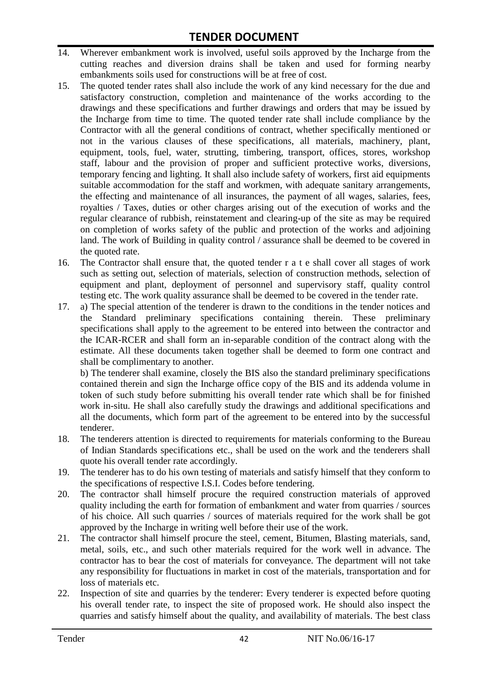- 14. Wherever embankment work is involved, useful soils approved by the Incharge from the cutting reaches and diversion drains shall be taken and used for forming nearby embankments soils used for constructions will be at free of cost.
- 15. The quoted tender rates shall also include the work of any kind necessary for the due and satisfactory construction, completion and maintenance of the works according to the drawings and these specifications and further drawings and orders that may be issued by the Incharge from time to time. The quoted tender rate shall include compliance by the Contractor with all the general conditions of contract, whether specifically mentioned or not in the various clauses of these specifications, all materials, machinery, plant, equipment, tools, fuel, water, strutting, timbering, transport, offices, stores, workshop staff, labour and the provision of proper and sufficient protective works, diversions, temporary fencing and lighting. It shall also include safety of workers, first aid equipments suitable accommodation for the staff and workmen, with adequate sanitary arrangements, the effecting and maintenance of all insurances, the payment of all wages, salaries, fees, royalties / Taxes, duties or other charges arising out of the execution of works and the regular clearance of rubbish, reinstatement and clearing-up of the site as may be required on completion of works safety of the public and protection of the works and adjoining land. The work of Building in quality control / assurance shall be deemed to be covered in the quoted rate.
- 16. The Contractor shall ensure that, the quoted tender r a t e shall cover all stages of work such as setting out, selection of materials, selection of construction methods, selection of equipment and plant, deployment of personnel and supervisory staff, quality control testing etc. The work quality assurance shall be deemed to be covered in the tender rate.
- 17. a) The special attention of the tenderer is drawn to the conditions in the tender notices and the Standard preliminary specifications containing therein. These preliminary specifications shall apply to the agreement to be entered into between the contractor and the ICAR-RCER and shall form an in-separable condition of the contract along with the estimate. All these documents taken together shall be deemed to form one contract and shall be complimentary to another.

b) The tenderer shall examine, closely the BIS also the standard preliminary specifications contained therein and sign the Incharge office copy of the BIS and its addenda volume in token of such study before submitting his overall tender rate which shall be for finished work in-situ. He shall also carefully study the drawings and additional specifications and all the documents, which form part of the agreement to be entered into by the successful tenderer.

- 18. The tenderers attention is directed to requirements for materials conforming to the Bureau of Indian Standards specifications etc., shall be used on the work and the tenderers shall quote his overall tender rate accordingly.
- 19. The tenderer has to do his own testing of materials and satisfy himself that they conform to the specifications of respective I.S.I. Codes before tendering.
- 20. The contractor shall himself procure the required construction materials of approved quality including the earth for formation of embankment and water from quarries / sources of his choice. All such quarries / sources of materials required for the work shall be got approved by the Incharge in writing well before their use of the work.
- 21. The contractor shall himself procure the steel, cement, Bitumen, Blasting materials, sand, metal, soils, etc., and such other materials required for the work well in advance. The contractor has to bear the cost of materials for conveyance. The department will not take any responsibility for fluctuations in market in cost of the materials, transportation and for loss of materials etc.
- 22. Inspection of site and quarries by the tenderer: Every tenderer is expected before quoting his overall tender rate, to inspect the site of proposed work. He should also inspect the quarries and satisfy himself about the quality, and availability of materials. The best class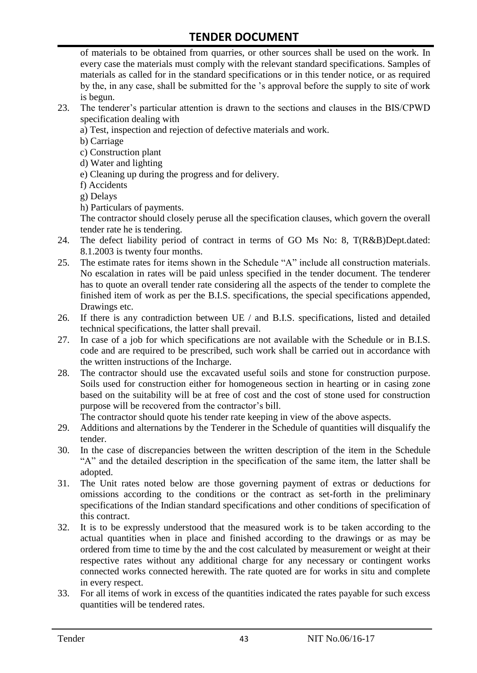of materials to be obtained from quarries, or other sources shall be used on the work. In every case the materials must comply with the relevant standard specifications. Samples of materials as called for in the standard specifications or in this tender notice, or as required by the, in any case, shall be submitted for the "s approval before the supply to site of work is begun.

- 23. The tenderer"s particular attention is drawn to the sections and clauses in the BIS/CPWD specification dealing with
	- a) Test, inspection and rejection of defective materials and work.
	- b) Carriage
	- c) Construction plant
	- d) Water and lighting
	- e) Cleaning up during the progress and for delivery.
	- f) Accidents
	- g) Delays
	- h) Particulars of payments.

The contractor should closely peruse all the specification clauses, which govern the overall tender rate he is tendering.

- 24. The defect liability period of contract in terms of GO Ms No: 8, T(R&B)Dept.dated: 8.1.2003 is twenty four months.
- 25. The estimate rates for items shown in the Schedule "A" include all construction materials. No escalation in rates will be paid unless specified in the tender document. The tenderer has to quote an overall tender rate considering all the aspects of the tender to complete the finished item of work as per the B.I.S. specifications, the special specifications appended, Drawings etc.
- 26. If there is any contradiction between UE / and B.I.S. specifications, listed and detailed technical specifications, the latter shall prevail.
- 27. In case of a job for which specifications are not available with the Schedule or in B.I.S. code and are required to be prescribed, such work shall be carried out in accordance with the written instructions of the Incharge.
- 28. The contractor should use the excavated useful soils and stone for construction purpose. Soils used for construction either for homogeneous section in hearting or in casing zone based on the suitability will be at free of cost and the cost of stone used for construction purpose will be recovered from the contractor's bill.

The contractor should quote his tender rate keeping in view of the above aspects.

- 29. Additions and alternations by the Tenderer in the Schedule of quantities will disqualify the tender.
- 30. In the case of discrepancies between the written description of the item in the Schedule "A" and the detailed description in the specification of the same item, the latter shall be adopted.
- 31. The Unit rates noted below are those governing payment of extras or deductions for omissions according to the conditions or the contract as set-forth in the preliminary specifications of the Indian standard specifications and other conditions of specification of this contract.
- 32. It is to be expressly understood that the measured work is to be taken according to the actual quantities when in place and finished according to the drawings or as may be ordered from time to time by the and the cost calculated by measurement or weight at their respective rates without any additional charge for any necessary or contingent works connected works connected herewith. The rate quoted are for works in situ and complete in every respect.
- 33. For all items of work in excess of the quantities indicated the rates payable for such excess quantities will be tendered rates.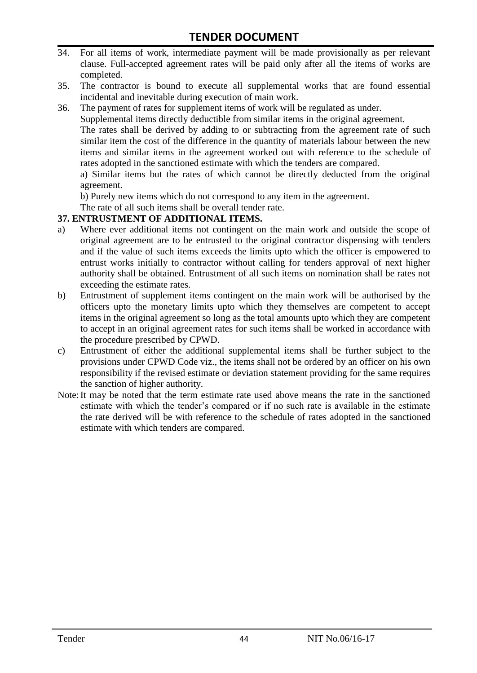- 34. For all items of work, intermediate payment will be made provisionally as per relevant clause. Full-accepted agreement rates will be paid only after all the items of works are completed.
- 35. The contractor is bound to execute all supplemental works that are found essential incidental and inevitable during execution of main work.
- 36. The payment of rates for supplement items of work will be regulated as under.

Supplemental items directly deductible from similar items in the original agreement.

The rates shall be derived by adding to or subtracting from the agreement rate of such similar item the cost of the difference in the quantity of materials labour between the new items and similar items in the agreement worked out with reference to the schedule of rates adopted in the sanctioned estimate with which the tenders are compared.

a) Similar items but the rates of which cannot be directly deducted from the original agreement.

b) Purely new items which do not correspond to any item in the agreement.

The rate of all such items shall be overall tender rate.

#### **37. ENTRUSTMENT OF ADDITIONAL ITEMS.**

- a) Where ever additional items not contingent on the main work and outside the scope of original agreement are to be entrusted to the original contractor dispensing with tenders and if the value of such items exceeds the limits upto which the officer is empowered to entrust works initially to contractor without calling for tenders approval of next higher authority shall be obtained. Entrustment of all such items on nomination shall be rates not exceeding the estimate rates.
- b) Entrustment of supplement items contingent on the main work will be authorised by the officers upto the monetary limits upto which they themselves are competent to accept items in the original agreement so long as the total amounts upto which they are competent to accept in an original agreement rates for such items shall be worked in accordance with the procedure prescribed by CPWD.
- c) Entrustment of either the additional supplemental items shall be further subject to the provisions under CPWD Code viz., the items shall not be ordered by an officer on his own responsibility if the revised estimate or deviation statement providing for the same requires the sanction of higher authority.
- Note:It may be noted that the term estimate rate used above means the rate in the sanctioned estimate with which the tender"s compared or if no such rate is available in the estimate the rate derived will be with reference to the schedule of rates adopted in the sanctioned estimate with which tenders are compared.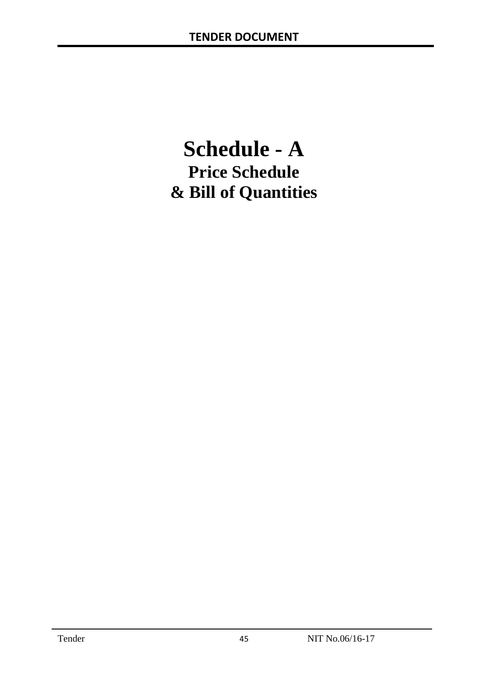# **Schedule - A Price Schedule & Bill of Quantities**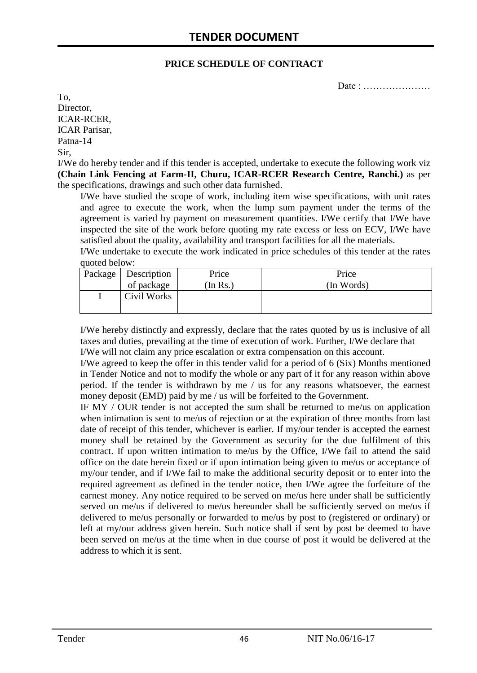#### **PRICE SCHEDULE OF CONTRACT**

Date : …………………

To, Director, ICAR-RCER, ICAR Parisar, Patna-14 Sir,

I/We do hereby tender and if this tender is accepted, undertake to execute the following work viz **(Chain Link Fencing at Farm-II, Churu, ICAR-RCER Research Centre, Ranchi.)** as per the specifications, drawings and such other data furnished.

I/We have studied the scope of work, including item wise specifications, with unit rates and agree to execute the work, when the lump sum payment under the terms of the agreement is varied by payment on measurement quantities. I/We certify that I/We have inspected the site of the work before quoting my rate excess or less on ECV, I/We have satisfied about the quality, availability and transport facilities for all the materials.

I/We undertake to execute the work indicated in price schedules of this tender at the rates quoted below:

| Package   Description | Price    | Price      |
|-----------------------|----------|------------|
| of package            | (In Rs.) | (In Words) |
| Civil Works           |          |            |
|                       |          |            |

I/We hereby distinctly and expressly, declare that the rates quoted by us is inclusive of all taxes and duties, prevailing at the time of execution of work. Further, I/We declare that I/We will not claim any price escalation or extra compensation on this account.

I/We agreed to keep the offer in this tender valid for a period of 6 (Six) Months mentioned in Tender Notice and not to modify the whole or any part of it for any reason within above period. If the tender is withdrawn by me / us for any reasons whatsoever, the earnest money deposit (EMD) paid by me / us will be forfeited to the Government.

IF MY / OUR tender is not accepted the sum shall be returned to me/us on application when intimation is sent to me/us of rejection or at the expiration of three months from last date of receipt of this tender, whichever is earlier. If my/our tender is accepted the earnest money shall be retained by the Government as security for the due fulfilment of this contract. If upon written intimation to me/us by the Office, I/We fail to attend the said office on the date herein fixed or if upon intimation being given to me/us or acceptance of my/our tender, and if I/We fail to make the additional security deposit or to enter into the required agreement as defined in the tender notice, then I/We agree the forfeiture of the earnest money. Any notice required to be served on me/us here under shall be sufficiently served on me/us if delivered to me/us hereunder shall be sufficiently served on me/us if delivered to me/us personally or forwarded to me/us by post to (registered or ordinary) or left at my/our address given herein. Such notice shall if sent by post be deemed to have been served on me/us at the time when in due course of post it would be delivered at the address to which it is sent.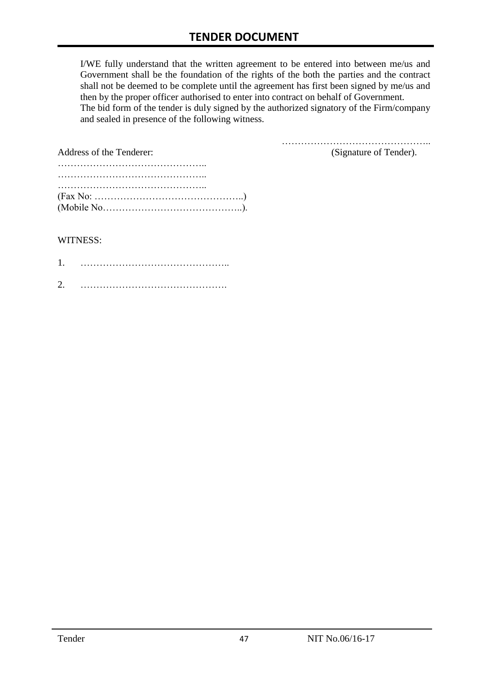I/WE fully understand that the written agreement to be entered into between me/us and Government shall be the foundation of the rights of the both the parties and the contract shall not be deemed to be complete until the agreement has first been signed by me/us and then by the proper officer authorised to enter into contract on behalf of Government. The bid form of the tender is duly signed by the authorized signatory of the Firm/company and sealed in presence of the following witness.

| Address of the Tenderer:                                                                  | (Signature of Tender). |
|-------------------------------------------------------------------------------------------|------------------------|
|                                                                                           |                        |
|                                                                                           |                        |
|                                                                                           |                        |
| $(Fax No: \dots \dots \dots \dots \dots \dots \dots \dots \dots \dots \dots \dots \dots)$ |                        |
|                                                                                           |                        |

#### WITNESS:

| ⌒ |  |
|---|--|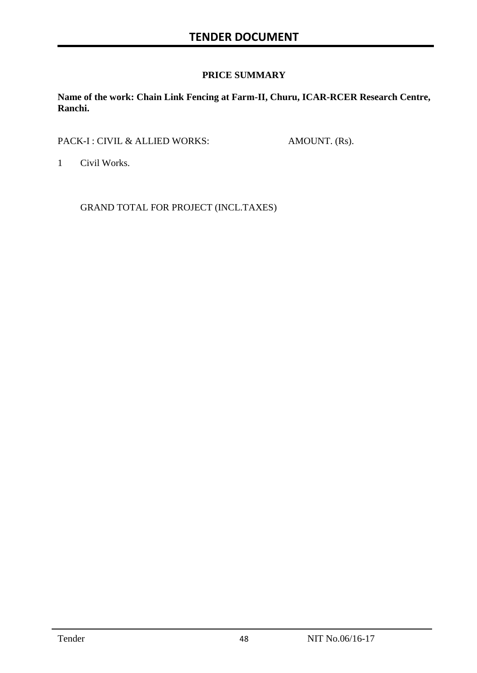### **PRICE SUMMARY**

**Name of the work: Chain Link Fencing at Farm-II, Churu, ICAR-RCER Research Centre, Ranchi.**

PACK-I : CIVIL & ALLIED WORKS: AMOUNT. (Rs).

1 Civil Works.

GRAND TOTAL FOR PROJECT (INCL.TAXES)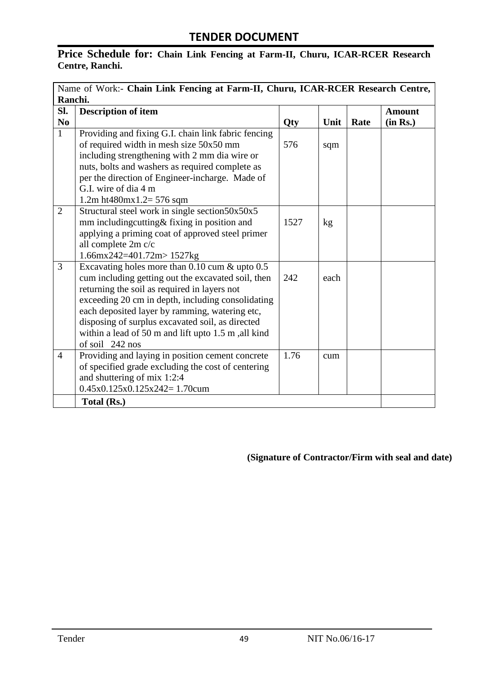# **Price Schedule for: Chain Link Fencing at Farm-II, Churu, ICAR-RCER Research Centre, Ranchi.**

|                        | Name of Work:- Chain Link Fencing at Farm-II, Churu, ICAR-RCER Research Centre, |      |      |      |               |
|------------------------|---------------------------------------------------------------------------------|------|------|------|---------------|
|                        | Ranchi.                                                                         |      |      |      |               |
| SI.                    | <b>Description of item</b>                                                      |      |      |      | <b>Amount</b> |
| $\mathbf{N}\mathbf{0}$ |                                                                                 | Qty  | Unit | Rate | (in Rs.)      |
| $\mathbf{1}$           | Providing and fixing G.I. chain link fabric fencing                             |      |      |      |               |
|                        | of required width in mesh size 50x50 mm                                         | 576  | sqm  |      |               |
|                        | including strengthening with 2 mm dia wire or                                   |      |      |      |               |
|                        | nuts, bolts and washers as required complete as                                 |      |      |      |               |
|                        | per the direction of Engineer-incharge. Made of                                 |      |      |      |               |
|                        | G.I. wire of dia 4 m                                                            |      |      |      |               |
|                        | 1.2m ht480mx1.2= $576$ sqm                                                      |      |      |      |               |
| 2                      | Structural steel work in single section50x50x5                                  |      |      |      |               |
|                        | mm includingcutting& fixing in position and                                     | 1527 | kg   |      |               |
|                        | applying a priming coat of approved steel primer                                |      |      |      |               |
|                        | all complete 2m c/c                                                             |      |      |      |               |
|                        | $1.66$ mx242=401.72m>1527kg                                                     |      |      |      |               |
| $\overline{3}$         | Excavating holes more than 0.10 cum & upto 0.5                                  |      |      |      |               |
|                        | cum including getting out the excavated soil, then                              | 242  | each |      |               |
|                        | returning the soil as required in layers not                                    |      |      |      |               |
|                        | exceeding 20 cm in depth, including consolidating                               |      |      |      |               |
|                        | each deposited layer by ramming, watering etc,                                  |      |      |      |               |
|                        | disposing of surplus excavated soil, as directed                                |      |      |      |               |
|                        | within a lead of 50 m and lift upto 1.5 m, all kind                             |      |      |      |               |
|                        | of soil 242 nos                                                                 |      |      |      |               |
| $\overline{4}$         | Providing and laying in position cement concrete                                | 1.76 | cum  |      |               |
|                        | of specified grade excluding the cost of centering                              |      |      |      |               |
|                        | and shuttering of mix 1:2:4                                                     |      |      |      |               |
|                        | $0.45x0.125x0.125x242=1.70cum$                                                  |      |      |      |               |
|                        | Total (Rs.)                                                                     |      |      |      |               |

**(Signature of Contractor/Firm with seal and date)**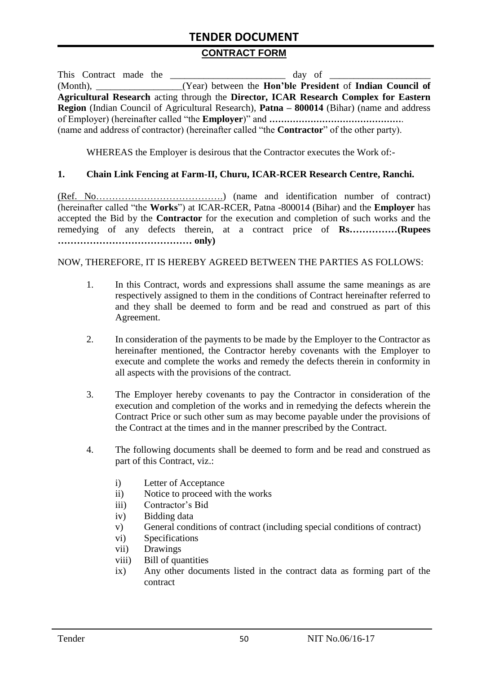# **TENDER DOCUMENT**

#### **CONTRACT FORM**

| This Contract made the |                                                                                                    |
|------------------------|----------------------------------------------------------------------------------------------------|
|                        | (Month), _________________(Year) between the <b>Hon'ble President</b> of <b>Indian Council of</b>  |
|                        | Agricultural Research acting through the Director, ICAR Research Complex for Eastern               |
|                        | Region (Indian Council of Agricultural Research), Patna – 800014 (Bihar) (name and address         |
|                        |                                                                                                    |
|                        | (name and address of contractor) (hereinafter called "the <b>Contractor</b> " of the other party). |

WHEREAS the Employer is desirous that the Contractor executes the Work of:-

#### **1. Chain Link Fencing at Farm-II, Churu, ICAR-RCER Research Centre, Ranchi.**

(Ref. No………………………………….) (name and identification number of contract) (hereinafter called "the **Works**") at ICAR-RCER, Patna -800014 (Bihar) and the **Employer** has accepted the Bid by the **Contractor** for the execution and completion of such works and the remedying of any defects therein, at a contract price of **Rs……………(Rupees …………………………………… only)**

#### NOW, THEREFORE, IT IS HEREBY AGREED BETWEEN THE PARTIES AS FOLLOWS:

- 1. In this Contract, words and expressions shall assume the same meanings as are respectively assigned to them in the conditions of Contract hereinafter referred to and they shall be deemed to form and be read and construed as part of this Agreement.
- 2. In consideration of the payments to be made by the Employer to the Contractor as hereinafter mentioned, the Contractor hereby covenants with the Employer to execute and complete the works and remedy the defects therein in conformity in all aspects with the provisions of the contract.
- 3. The Employer hereby covenants to pay the Contractor in consideration of the execution and completion of the works and in remedying the defects wherein the Contract Price or such other sum as may become payable under the provisions of the Contract at the times and in the manner prescribed by the Contract.
- 4. The following documents shall be deemed to form and be read and construed as part of this Contract, viz.:
	- i) Letter of Acceptance
	- ii) Notice to proceed with the works
	- iii) Contractor's Bid
	- iv) Bidding data
	- v) General conditions of contract (including special conditions of contract)
	- vi) Specifications
	- vii) Drawings
	- viii) Bill of quantities
	- ix) Any other documents listed in the contract data as forming part of the contract